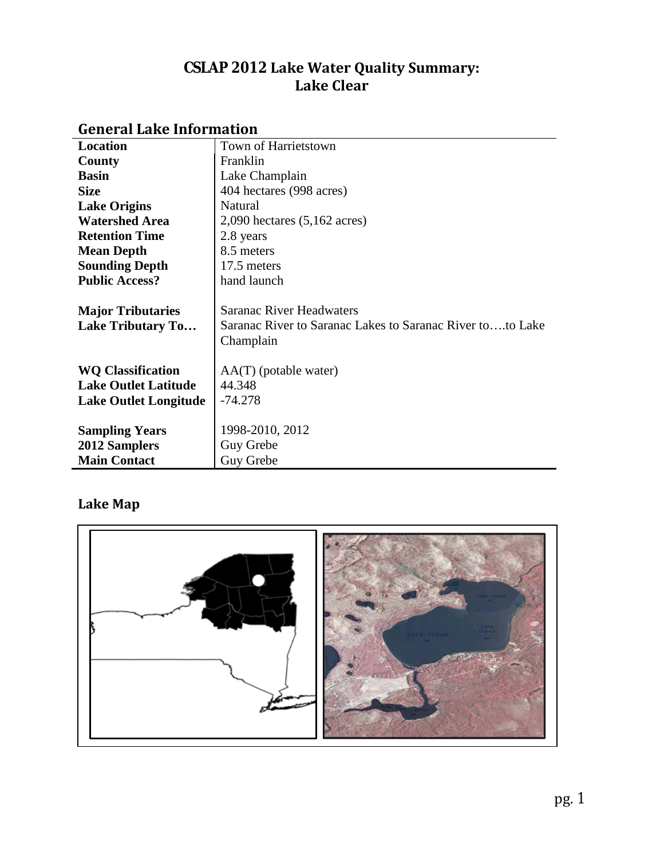# **CSLAP 2012 Lake Water Quality Summary: Lake Clear**

| Location                     | Town of Harrietstown                                      |
|------------------------------|-----------------------------------------------------------|
| County                       | Franklin                                                  |
| <b>Basin</b>                 | Lake Champlain                                            |
| <b>Size</b>                  | 404 hectares (998 acres)                                  |
| <b>Lake Origins</b>          | Natural                                                   |
| <b>Watershed Area</b>        | $2,090$ hectares $(5,162$ acres)                          |
| <b>Retention Time</b>        | 2.8 years                                                 |
| <b>Mean Depth</b>            | 8.5 meters                                                |
| <b>Sounding Depth</b>        | 17.5 meters                                               |
| <b>Public Access?</b>        | hand launch                                               |
|                              |                                                           |
| <b>Major Tributaries</b>     | Saranac River Headwaters                                  |
| <b>Lake Tributary To</b>     | Saranac River to Saranac Lakes to Saranac River toto Lake |
|                              | Champlain                                                 |
|                              |                                                           |
| <b>WQ Classification</b>     | $AA(T)$ (potable water)                                   |
| <b>Lake Outlet Latitude</b>  | 44.348                                                    |
| <b>Lake Outlet Longitude</b> | $-74.278$                                                 |
|                              |                                                           |
| <b>Sampling Years</b>        | 1998-2010, 2012                                           |
| <b>2012 Samplers</b>         | Guy Grebe                                                 |
| <b>Main Contact</b>          | Guy Grebe                                                 |

# **General Lake Information**

# **Lake Map**

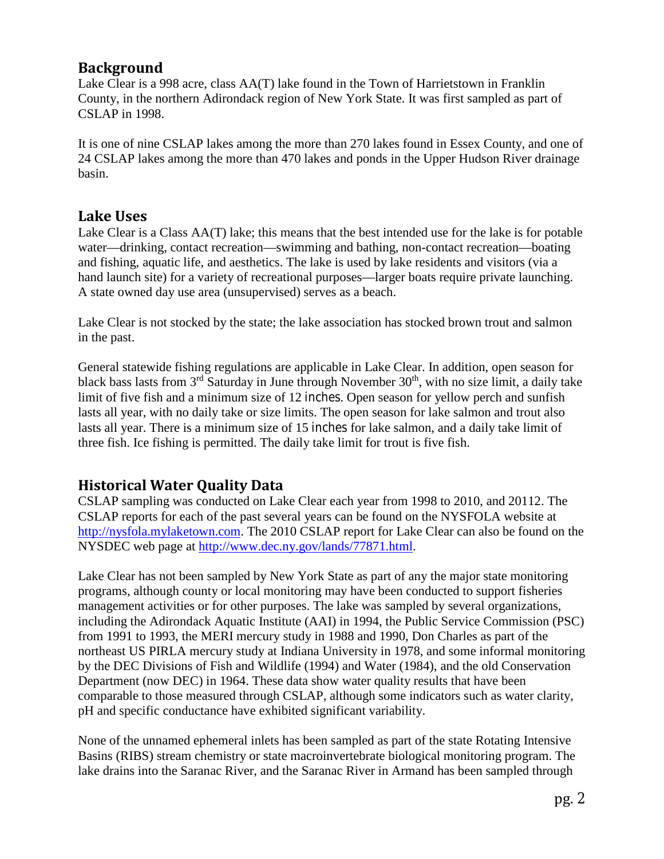## **Background**

Lake Clear is a 998 acre, class AA(T) lake found in the Town of Harrietstown in Franklin County, in the northern Adirondack region of New York State. It was first sampled as part of CSLAP in 1998.

It is one of nine CSLAP lakes among the more than 270 lakes found in Essex County, and one of 24 CSLAP lakes among the more than 470 lakes and ponds in the Upper Hudson River drainage basin.

## **Lake Uses**

Lake Clear is a Class AA(T) lake; this means that the best intended use for the lake is for potable water—drinking, contact recreation—swimming and bathing, non-contact recreation—boating and fishing, aquatic life, and aesthetics. The lake is used by lake residents and visitors (via a hand launch site) for a variety of recreational purposes—larger boats require private launching. A state owned day use area (unsupervised) serves as a beach.

Lake Clear is not stocked by the state; the lake association has stocked brown trout and salmon in the past.

General statewide fishing regulations are applicable in Lake Clear. In addition, open season for black bass lasts from  $3<sup>rd</sup>$  Saturday in June through November  $30<sup>th</sup>$ , with no size limit, a daily take limit of five fish and a minimum size of 12 inches. Open season for yellow perch and sunfish lasts all year, with no daily take or size limits. The open season for lake salmon and trout also lasts all year. There is a minimum size of 15 inches for lake salmon, and a daily take limit of three fish. Ice fishing is permitted. The daily take limit for trout is five fish.

# **Historical Water Quality Data**

CSLAP sampling was conducted on Lake Clear each year from 1998 to 2010, and 20112. The CSLAP reports for each of the past several years can be found on the NYSFOLA website at [http://nysfola.mylaketown.com.](http://nysfola.mylaketown.com/) The 2010 CSLAP report for Lake Clear can also be found on the NYSDEC web page at [http://www.dec.ny.gov/lands/77871.html.](http://www.dec.ny.gov/lands/77871.html)

Lake Clear has not been sampled by New York State as part of any the major state monitoring programs, although county or local monitoring may have been conducted to support fisheries management activities or for other purposes. The lake was sampled by several organizations, including the Adirondack Aquatic Institute (AAI) in 1994, the Public Service Commission (PSC) from 1991 to 1993, the MERI mercury study in 1988 and 1990, Don Charles as part of the northeast US PIRLA mercury study at Indiana University in 1978, and some informal monitoring by the DEC Divisions of Fish and Wildlife (1994) and Water (1984), and the old Conservation Department (now DEC) in 1964. These data show water quality results that have been comparable to those measured through CSLAP, although some indicators such as water clarity, pH and specific conductance have exhibited significant variability.

None of the unnamed ephemeral inlets has been sampled as part of the state Rotating Intensive Basins (RIBS) stream chemistry or state macroinvertebrate biological monitoring program. The lake drains into the Saranac River, and the Saranac River in Armand has been sampled through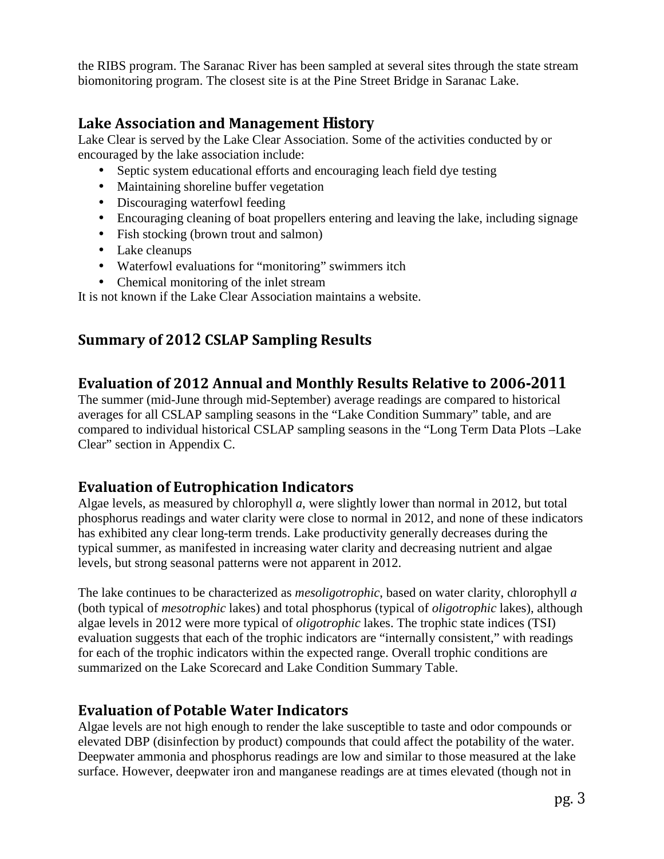the RIBS program. The Saranac River has been sampled at several sites through the state stream biomonitoring program. The closest site is at the Pine Street Bridge in Saranac Lake.

# **Lake Association and Management History**

Lake Clear is served by the Lake Clear Association. Some of the activities conducted by or encouraged by the lake association include:

- Septic system educational efforts and encouraging leach field dye testing
- Maintaining shoreline buffer vegetation  $\mathbf{r}^{\prime}$
- Discouraging waterfowl feeding
- Encouraging cleaning of boat propellers entering and leaving the lake, including signage
- Fish stocking (brown trout and salmon)
- Lake cleanups
- Waterfowl evaluations for "monitoring" swimmers itch
- $\mathcal{L}^{\pm}$ Chemical monitoring of the inlet stream

It is not known if the Lake Clear Association maintains a website.

# **Summary of 2012 CSLAP Sampling Results**

## **Evaluation of 2012 Annual and Monthly Results Relative to 2006-2011**

The summer (mid-June through mid-September) average readings are compared to historical averages for all CSLAP sampling seasons in the "Lake Condition Summary" table, and are compared to individual historical CSLAP sampling seasons in the "Long Term Data Plots –Lake Clear" section in Appendix C.

# **Evaluation of Eutrophication Indicators**

Algae levels, as measured by chlorophyll *a*, were slightly lower than normal in 2012, but total phosphorus readings and water clarity were close to normal in 2012, and none of these indicators has exhibited any clear long-term trends. Lake productivity generally decreases during the typical summer, as manifested in increasing water clarity and decreasing nutrient and algae levels, but strong seasonal patterns were not apparent in 2012.

The lake continues to be characterized as *mesoligotrophic*, based on water clarity, chlorophyll *a* (both typical of *mesotrophic* lakes) and total phosphorus (typical of *oligotrophic* lakes), although algae levels in 2012 were more typical of *oligotrophic* lakes. The trophic state indices (TSI) evaluation suggests that each of the trophic indicators are "internally consistent," with readings for each of the trophic indicators within the expected range. Overall trophic conditions are summarized on the Lake Scorecard and Lake Condition Summary Table.

# **Evaluation of Potable Water Indicators**

Algae levels are not high enough to render the lake susceptible to taste and odor compounds or elevated DBP (disinfection by product) compounds that could affect the potability of the water. Deepwater ammonia and phosphorus readings are low and similar to those measured at the lake surface. However, deepwater iron and manganese readings are at times elevated (though not in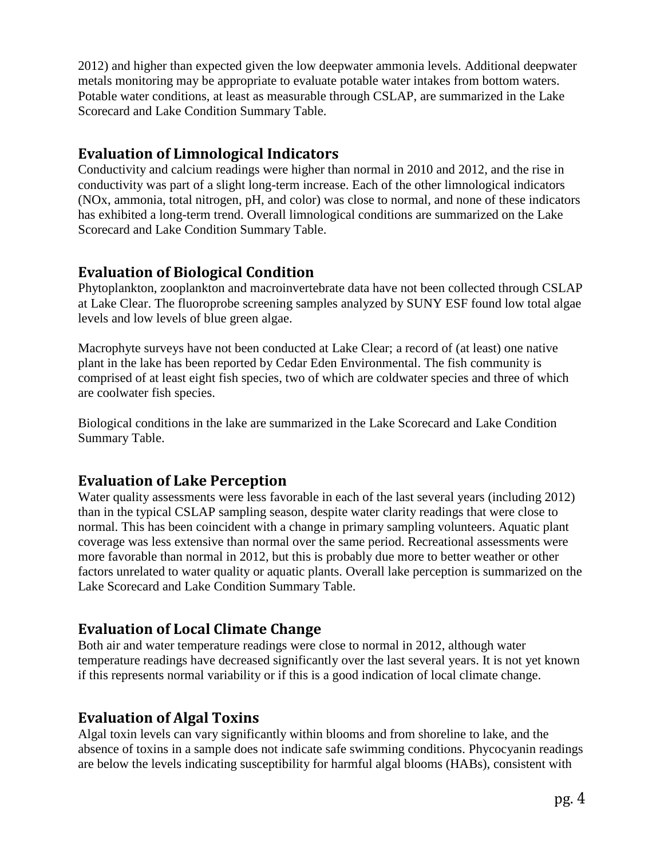2012) and higher than expected given the low deepwater ammonia levels. Additional deepwater metals monitoring may be appropriate to evaluate potable water intakes from bottom waters. Potable water conditions, at least as measurable through CSLAP, are summarized in the Lake Scorecard and Lake Condition Summary Table.

## **Evaluation of Limnological Indicators**

Conductivity and calcium readings were higher than normal in 2010 and 2012, and the rise in conductivity was part of a slight long-term increase. Each of the other limnological indicators (NOx, ammonia, total nitrogen, pH, and color) was close to normal, and none of these indicators has exhibited a long-term trend. Overall limnological conditions are summarized on the Lake Scorecard and Lake Condition Summary Table.

# **Evaluation of Biological Condition**

Phytoplankton, zooplankton and macroinvertebrate data have not been collected through CSLAP at Lake Clear. The fluoroprobe screening samples analyzed by SUNY ESF found low total algae levels and low levels of blue green algae.

Macrophyte surveys have not been conducted at Lake Clear; a record of (at least) one native plant in the lake has been reported by Cedar Eden Environmental. The fish community is comprised of at least eight fish species, two of which are coldwater species and three of which are coolwater fish species.

Biological conditions in the lake are summarized in the Lake Scorecard and Lake Condition Summary Table.

# **Evaluation of Lake Perception**

Water quality assessments were less favorable in each of the last several years (including 2012) than in the typical CSLAP sampling season, despite water clarity readings that were close to normal. This has been coincident with a change in primary sampling volunteers. Aquatic plant coverage was less extensive than normal over the same period. Recreational assessments were more favorable than normal in 2012, but this is probably due more to better weather or other factors unrelated to water quality or aquatic plants. Overall lake perception is summarized on the Lake Scorecard and Lake Condition Summary Table.

# **Evaluation of Local Climate Change**

Both air and water temperature readings were close to normal in 2012, although water temperature readings have decreased significantly over the last several years. It is not yet known if this represents normal variability or if this is a good indication of local climate change.

# **Evaluation of Algal Toxins**

Algal toxin levels can vary significantly within blooms and from shoreline to lake, and the absence of toxins in a sample does not indicate safe swimming conditions. Phycocyanin readings are below the levels indicating susceptibility for harmful algal blooms (HABs), consistent with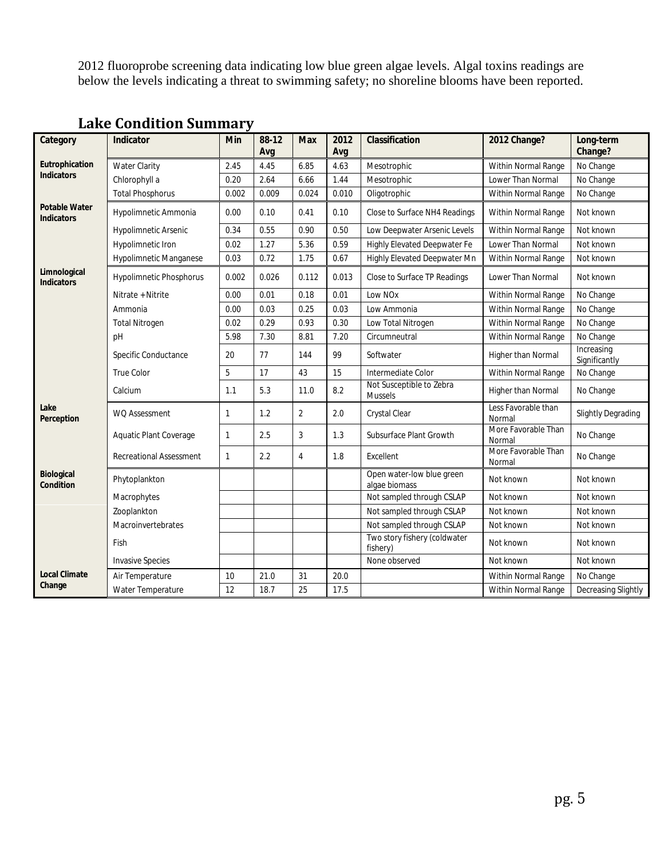2012 fluoroprobe screening data indicating low blue green algae levels. Algal toxins readings are below the levels indicating a threat to swimming safety; no shoreline blooms have been reported.

| Category                                  | Indicator                      | Min   | 88-12<br>Avg | <b>Max</b>     | 2012<br>Avg | Classification                             | 2012 Change?                  | Long-term<br>Change?        |
|-------------------------------------------|--------------------------------|-------|--------------|----------------|-------------|--------------------------------------------|-------------------------------|-----------------------------|
| Eutrophication                            | <b>Water Clarity</b>           | 2.45  | 4.45         | 6.85           | 4.63        | Mesotrophic                                | Within Normal Range           | No Change                   |
| <b>Indicators</b>                         | Chlorophyll a                  | 0.20  | 2.64         | 6.66           | 1.44        | Mesotrophic                                | Lower Than Normal             | No Change                   |
|                                           | <b>Total Phosphorus</b>        | 0.002 | 0.009        | 0.024          | 0.010       | Oligotrophic                               | Within Normal Range           | No Change                   |
| <b>Potable Water</b><br><b>Indicators</b> | Hypolimnetic Ammonia           | 0.00  | 0.10         | 0.41           | 0.10        | Close to Surface NH4 Readings              | Within Normal Range           | Not known                   |
|                                           | <b>Hypolimnetic Arsenic</b>    | 0.34  | 0.55         | 0.90           | 0.50        | Low Deepwater Arsenic Levels               | Within Normal Range           | Not known                   |
|                                           | Hypolimnetic Iron              | 0.02  | 1.27         | 5.36           | 0.59        | Highly Elevated Deepwater Fe               | Lower Than Normal             | Not known                   |
|                                           | Hypolimnetic Manganese         | 0.03  | 0.72         | 1.75           | 0.67        | <b>Highly Elevated Deepwater Mn</b>        | Within Normal Range           | Not known                   |
| Limnological<br><b>Indicators</b>         | Hypolimnetic Phosphorus        | 0.002 | 0.026        | 0.112          | 0.013       | Close to Surface TP Readings               | <b>Lower Than Normal</b>      | Not known                   |
|                                           | Nitrate + Nitrite              | 0.00  | 0.01         | 0.18           | 0.01        | Low NO <sub>x</sub>                        | Within Normal Range           | No Change                   |
|                                           | Ammonia                        | 0.00  | 0.03         | 0.25           | 0.03        | Low Ammonia                                | Within Normal Range           | No Change                   |
|                                           | <b>Total Nitrogen</b>          | 0.02  | 0.29         | 0.93           | 0.30        | Low Total Nitrogen                         | Within Normal Range           | No Change                   |
|                                           | pH                             | 5.98  | 7.30         | 8.81           | 7.20        | Circumneutral                              | Within Normal Range           | No Change                   |
|                                           | Specific Conductance           | 20    | 77           | 144            | 99          | Softwater                                  | Higher than Normal            | Increasing<br>Significantly |
|                                           | True Color                     | 5     | 17           | 43             | 15          | Intermediate Color                         | Within Normal Range           | No Change                   |
|                                           | Calcium                        | 1.1   | 5.3          | 11.0           | 8.2         | Not Susceptible to Zebra<br><b>Mussels</b> | Higher than Normal            | No Change                   |
| Lake<br>Perception                        | <b>WQ Assessment</b>           | 1     | 1.2          | $\overline{2}$ | 2.0         | Crystal Clear                              | Less Favorable than<br>Normal | <b>Slightly Degrading</b>   |
|                                           | Aquatic Plant Coverage         | 1     | 2.5          | 3              | 1.3         | Subsurface Plant Growth                    | More Favorable Than<br>Normal | No Change                   |
|                                           | <b>Recreational Assessment</b> | 1     | 2.2          | 4              | 1.8         | Excellent                                  | More Favorable Than<br>Normal | No Change                   |
| <b>Biological</b><br>Condition            | Phytoplankton                  |       |              |                |             | Open water-low blue green<br>algae biomass | Not known                     | Not known                   |
|                                           | Macrophytes                    |       |              |                |             | Not sampled through CSLAP                  | Not known                     | Not known                   |
|                                           | Zooplankton                    |       |              |                |             | Not sampled through CSLAP                  | Not known                     | Not known                   |
|                                           | Macroinvertebrates             |       |              |                |             | Not sampled through CSLAP                  | Not known                     | Not known                   |
|                                           | Fish                           |       |              |                |             | Two story fishery (coldwater<br>fishery)   | Not known                     | Not known                   |
|                                           | <b>Invasive Species</b>        |       |              |                |             | None observed                              | Not known                     | Not known                   |
| <b>Local Climate</b>                      | Air Temperature                | 10    | 21.0         | 31             | 20.0        |                                            | Within Normal Range           | No Change                   |
| Change                                    | Water Temperature              | 12    | 18.7         | 25             | 17.5        |                                            | Within Normal Range           | Decreasing Slightly         |

# **Lake Condition Summary**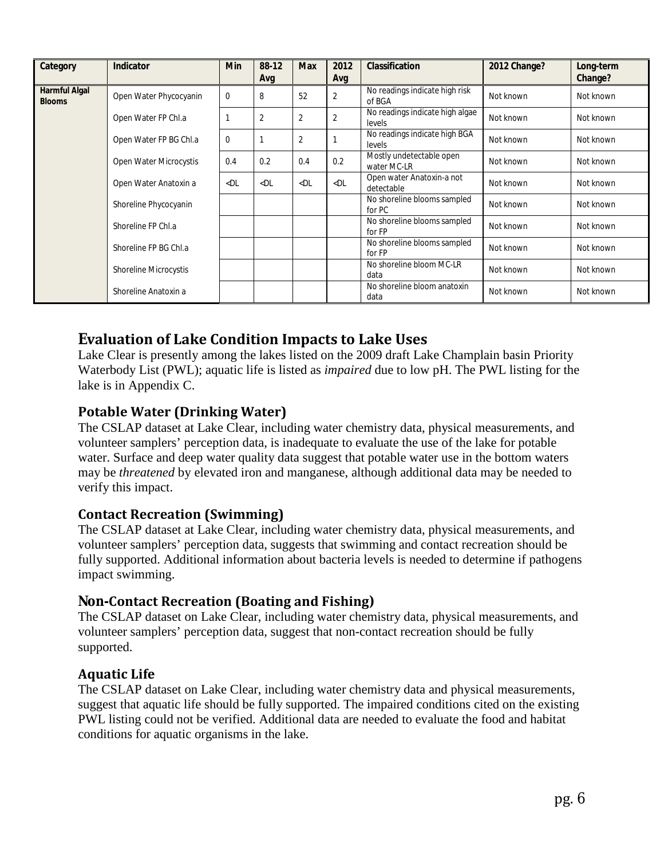| Category                       | <b>Indicator</b>       | <b>Min</b> | 88-12<br>Avg   | <b>Max</b>     | 2012<br>Avg    | Classification                            | 2012 Change? | Long-term<br>Change? |
|--------------------------------|------------------------|------------|----------------|----------------|----------------|-------------------------------------------|--------------|----------------------|
| Harmful Algal<br><b>Blooms</b> | Open Water Phycocyanin | 0          | 8              | 52             | $\overline{2}$ | No readings indicate high risk<br>of BGA  | Not known    | Not known            |
|                                | Open Water FP Chl.a    |            | $\overline{2}$ | $\overline{2}$ | 2              | No readings indicate high algae<br>levels | Not known    | Not known            |
|                                | Open Water FP BG Chl.a | $\Omega$   |                | $\overline{2}$ |                | No readings indicate high BGA<br>levels   | Not known    | Not known            |
|                                | Open Water Microcystis | 0.4        | 0.2            | 0.4            | 0.2            | Mostly undetectable open<br>water MC-LR   | Not known    | Not known            |
|                                | Open Water Anatoxin a  | $<$ DL     | $<$ DL         | $<$ DL         | $<$ DL         | Open water Anatoxin-a not<br>detectable   | Not known    | Not known            |
|                                | Shoreline Phycocyanin  |            |                |                |                | No shoreline blooms sampled<br>for PC     | Not known    | Not known            |
|                                | Shoreline FP Chl.a     |            |                |                |                | No shoreline blooms sampled<br>for FP     | Not known    | Not known            |
|                                | Shoreline FP BG Chl.a  |            |                |                |                | No shoreline blooms sampled<br>for FP     | Not known    | Not known            |
|                                | Shoreline Microcystis  |            |                |                |                | No shoreline bloom MC-LR<br>data          | Not known    | Not known            |
|                                | Shoreline Anatoxin a   |            |                |                |                | No shoreline bloom anatoxin<br>data       | Not known    | Not known            |

# **Evaluation of Lake Condition Impacts to Lake Uses**

Lake Clear is presently among the lakes listed on the 2009 draft Lake Champlain basin Priority Waterbody List (PWL); aquatic life is listed as *impaired* due to low pH. The PWL listing for the lake is in Appendix C.

## **Potable Water (Drinking Water)**

The CSLAP dataset at Lake Clear, including water chemistry data, physical measurements, and volunteer samplers' perception data, is inadequate to evaluate the use of the lake for potable water. Surface and deep water quality data suggest that potable water use in the bottom waters may be *threatened* by elevated iron and manganese, although additional data may be needed to verify this impact.

## **Contact Recreation (Swimming)**

The CSLAP dataset at Lake Clear, including water chemistry data, physical measurements, and volunteer samplers' perception data, suggests that swimming and contact recreation should be fully supported. Additional information about bacteria levels is needed to determine if pathogens impact swimming.

## **Non-Contact Recreation (Boating and Fishing)**

The CSLAP dataset on Lake Clear, including water chemistry data, physical measurements, and volunteer samplers' perception data, suggest that non-contact recreation should be fully supported.

## **Aquatic Life**

The CSLAP dataset on Lake Clear, including water chemistry data and physical measurements, suggest that aquatic life should be fully supported. The impaired conditions cited on the existing PWL listing could not be verified. Additional data are needed to evaluate the food and habitat conditions for aquatic organisms in the lake.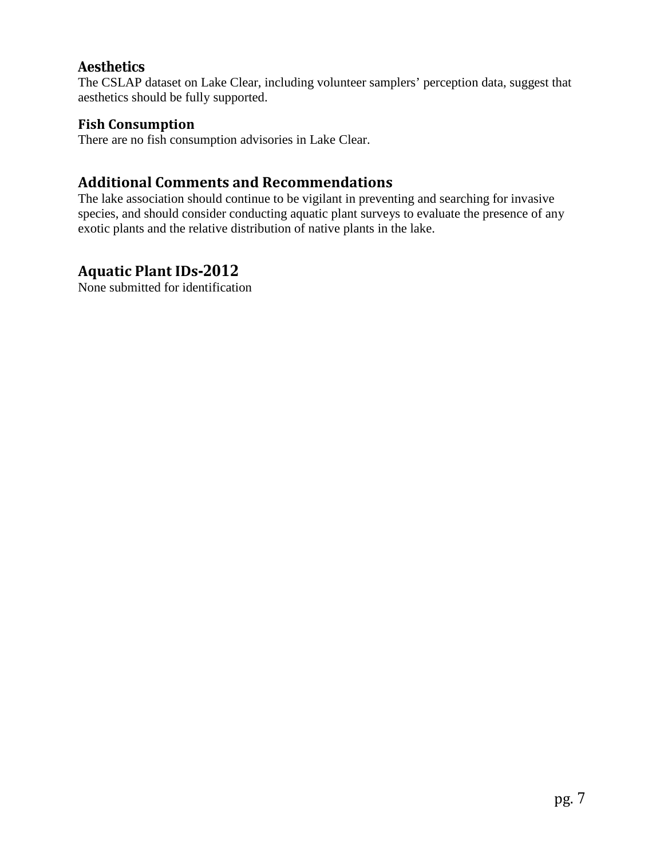## **Aesthetics**

The CSLAP dataset on Lake Clear, including volunteer samplers' perception data, suggest that aesthetics should be fully supported.

## **Fish Consumption**

There are no fish consumption advisories in Lake Clear.

## **Additional Comments and Recommendations**

The lake association should continue to be vigilant in preventing and searching for invasive species, and should consider conducting aquatic plant surveys to evaluate the presence of any exotic plants and the relative distribution of native plants in the lake.

## **Aquatic Plant IDs-2012**

None submitted for identification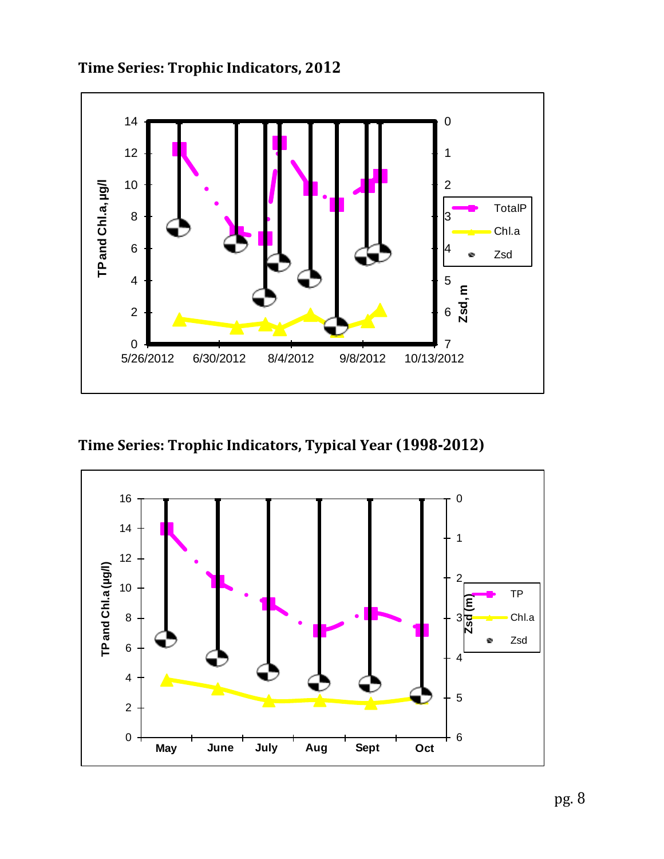

**Time Series: Trophic Indicators, 2012**

**Time Series: Trophic Indicators, Typical Year (1998-2012)**

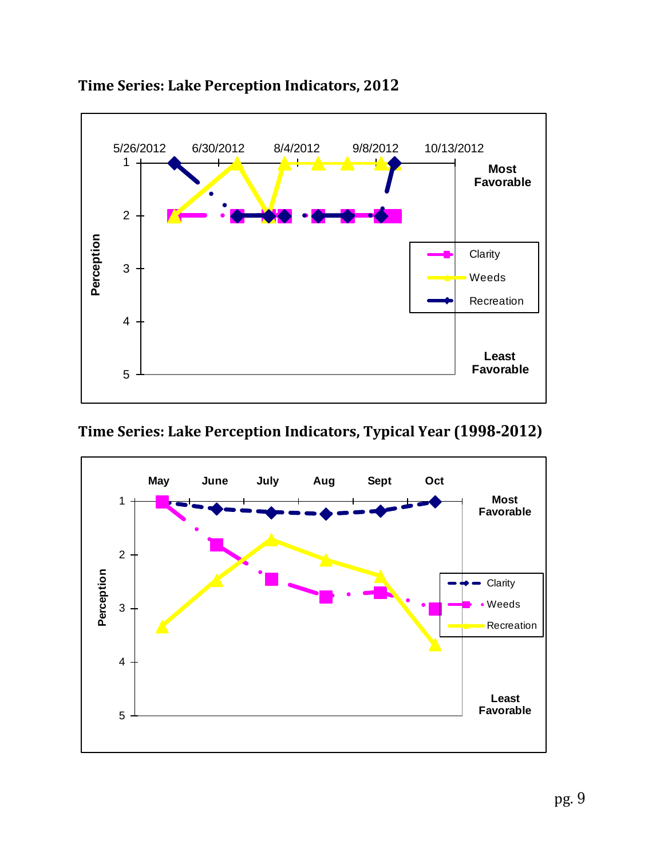

# **Time Series: Lake Perception Indicators, 2012**

# **Time Series: Lake Perception Indicators, Typical Year (1998-2012)**

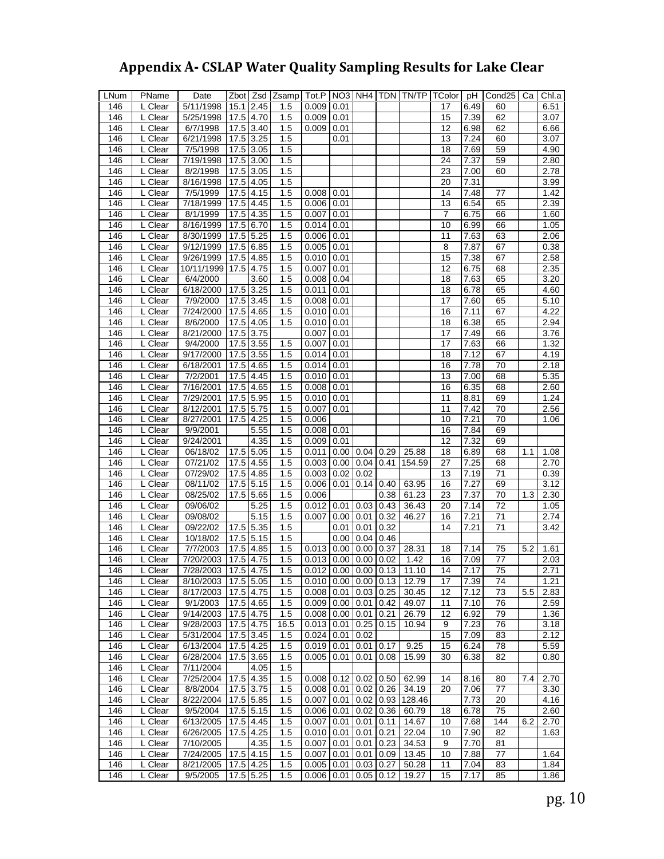# **Appendix A- CSLAP Water Quality Sampling Results for Lake Clear**

| LNum | PName                | Date       |           |             | Zbot Zsd Zsamp |                              |                |                          |      | Tot.P   NO3   NH4   TDN   TN/TP   TColor |    | pH   | Cond <sub>25</sub> | Ca  | Chl.a |
|------|----------------------|------------|-----------|-------------|----------------|------------------------------|----------------|--------------------------|------|------------------------------------------|----|------|--------------------|-----|-------|
| 146  | L Clear              | 5/11/1998  | 15.1      | 2.45        | 1.5            | 0.009                        | 0.01           |                          |      |                                          | 17 | 6.49 | 60                 |     | 6.51  |
| 146  | L Clear              | 5/25/1998  | 17.5      | 4.70        | 1.5            | 0.009                        | 0.01           |                          |      |                                          | 15 | 7.39 | 62                 |     | 3.07  |
| 146  | $\overline{L}$ Clear | 6/7/1998   | 17.5      | 3.40        | 1.5            | 0.009                        | 0.01           |                          |      |                                          | 12 | 6.98 | 62                 |     | 6.66  |
| 146  | L Clear              | 6/21/1998  | 17.5      | 3.25        | 1.5            |                              | 0.01           |                          |      |                                          | 13 | 7.24 | 60                 |     | 3.07  |
| 146  | L Clear              | 7/5/1998   | 17.5      | 3.05        | 1.5            |                              |                |                          |      |                                          | 18 | 7.69 | 59                 |     | 4.90  |
| 146  | L Clear              | 7/19/1998  | 17.5      | 3.00        | 1.5            |                              |                |                          |      |                                          | 24 | 7.37 | 59                 |     | 2.80  |
| 146  | L Clear              | 8/2/1998   | 17.5      | 3.05        | 1.5            |                              |                |                          |      |                                          | 23 | 7.00 | 60                 |     | 2.78  |
| 146  | L Clear              | 8/16/1998  | 17.5      | 4.05        | 1.5            |                              |                |                          |      |                                          | 20 | 7.31 |                    |     | 3.99  |
| 146  | L Clear              | 7/5/1999   | 17.5      | 4.15        | 1.5            | 0.008                        | 0.01           |                          |      |                                          | 14 | 7.48 | 77                 |     | 1.42  |
| 146  | L Clear              | 7/18/1999  | 17.5      | 4.45        | 1.5            | 0.006                        | 0.01           |                          |      |                                          | 13 | 6.54 | 65                 |     | 2.39  |
| 146  | L Clear              | 8/1/1999   | 17.5      | 4.35        | 1.5            | 0.007                        | 0.01           |                          |      |                                          | 7  | 6.75 | 66                 |     | 1.60  |
| 146  | $\overline{L}$ Clear | 8/16/1999  | 17.5      | 6.70        | 1.5            | 0.014                        | 0.01           |                          |      |                                          | 10 | 6.99 | 66                 |     | 1.05  |
| 146  | L Clear              | 8/30/1999  | 17.5      | 5.25        |                | 0.006                        |                |                          |      |                                          | 11 | 7.63 | 63                 |     | 2.06  |
| 146  |                      | 9/12/1999  | 17.5      | 6.85        | 1.5<br>1.5     | 0.005                        | 0.01           |                          |      |                                          | 8  | 7.87 | 67                 |     | 0.38  |
|      | L Clear              |            |           |             |                |                              | 0.01           |                          |      |                                          |    |      |                    |     |       |
| 146  | L Clear              | 9/26/1999  | 17.5      | 4.85        | 1.5            | 0.010                        | 0.01           |                          |      |                                          | 15 | 7.38 | 67                 |     | 2.58  |
| 146  | L Clear              | 10/11/1999 | 17.5      | 4.75        | 1.5            | 0.007                        | 0.01           |                          |      |                                          | 12 | 6.75 | 68                 |     | 2.35  |
| 146  | L Clear              | 6/4/2000   |           | 3.60        | 1.5            | 0.008                        | 0.04           |                          |      |                                          | 18 | 7.63 | 65                 |     | 3.20  |
| 146  | L Clear              | 6/18/2000  | 17.5      | 3.25        | 1.5            | 0.011                        | 0.01           |                          |      |                                          | 18 | 6.78 | 65                 |     | 4.60  |
| 146  | L Clear              | 7/9/2000   | 17.5      | 3.45        | 1.5            | 0.008                        | 0.01           |                          |      |                                          | 17 | 7.60 | 65                 |     | 5.10  |
| 146  | L Clear              | 7/24/2000  | 17.5      | 4.65        | 1.5            | 0.010                        | 0.01           |                          |      |                                          | 16 | 7.11 | 67                 |     | 4.22  |
| 146  | L Clear              | 8/6/2000   | 17.5      | 4.05        | 1.5            | 0.010                        | 0.01           |                          |      |                                          | 18 | 6.38 | 65                 |     | 2.94  |
| 146  | L Clear              | 8/21/2000  | 17.5      | 3.75        |                | 0.007                        | 0.01           |                          |      |                                          | 17 | 7.49 | 66                 |     | 3.76  |
| 146  | L Clear              | 9/4/2000   | 17.5      | 3.55        | 1.5            | 0.007                        | 0.01           |                          |      |                                          | 17 | 7.63 | 66                 |     | 1.32  |
| 146  | L Clear              | 9/17/2000  | 17.5      | 3.55        | 1.5            | 0.014                        | 0.01           |                          |      |                                          | 18 | 7.12 | 67                 |     | 4.19  |
| 146  | L Clear              | 6/18/2001  | 17.5      | 4.65        | 1.5            | 0.014                        | 0.01           |                          |      |                                          | 16 | 7.78 | 70                 |     | 2.18  |
| 146  | $L$ Clear            | 7/2/2001   | 17.5      | 4.45        | 1.5            | 0.010                        | 0.01           |                          |      |                                          | 13 | 7.00 | 68                 |     | 5.35  |
| 146  | L Clear              | 7/16/2001  | 17.5      | 4.65        | 1.5            | $0.008$ 0.01                 |                |                          |      |                                          | 16 | 6.35 | 68                 |     | 2.60  |
| 146  | L Clear              | 7/29/2001  | 17.5      | 5.95        | 1.5            | $0.010$ 0.01                 |                |                          |      |                                          | 11 | 8.81 | 69                 |     | 1.24  |
| 146  | L Clear              | 8/12/2001  | 17.5      | 5.75        | 1.5            | 0.007                        | 0.01           |                          |      |                                          | 11 | 7.42 | 70                 |     | 2.56  |
| 146  | $L$ Clear            | 8/27/2001  | 17.5      | 4.25        | 1.5            | 0.006                        |                |                          |      |                                          | 10 | 7.21 | 70                 |     | 1.06  |
| 146  | L Clear              | 9/9/2001   |           | 5.55        | 1.5            | $0.008$ 0.01                 |                |                          |      |                                          | 16 | 7.84 | 69                 |     |       |
| 146  | L Clear              | 9/24/2001  |           | 4.35        | 1.5            | 0.009                        | 0.01           |                          |      |                                          | 12 | 7.32 | 69                 |     |       |
| 146  | L Clear              | 06/18/02   | 17.5      | 5.05        | 1.5            | 0.011                        |                | 0.00 0.04                | 0.29 | 25.88                                    | 18 | 6.89 | 68                 | 1.1 | 1.08  |
| 146  | $\overline{L}$ Clear | 07/21/02   | 17.5      | 4.55        | 1.5            | $0.003$   0.00   0.04   0.41 |                |                          |      | 154.59                                   | 27 | 7.25 | 68                 |     | 2.70  |
| 146  | L Clear              | 07/29/02   | 17.5      | 4.85        | 1.5            | 0.003                        | 0.02           | 0.02                     |      |                                          | 13 | 7.19 | 71                 |     | 0.39  |
| 146  | L Clear              | 08/11/02   | 17.5      | 5.15        | 1.5            | 0.006                        | 0.01           | 0.14                     | 0.40 | 63.95                                    | 16 | 7.27 | 69                 |     | 3.12  |
| 146  | $\overline{L}$ Clear | 08/25/02   | 17.5      | 5.65        | 1.5            | 0.006                        |                |                          | 0.38 | 61.23                                    | 23 | 7.37 | 70                 | 1.3 | 2.30  |
| 146  | L Clear              | 09/06/02   |           | 5.25        | 1.5            | 0.012                        | 0.01           | 0.03                     | 0.43 | 36.43                                    | 20 | 7.14 | 72                 |     | 1.05  |
|      | $\overline{L}$ Clear |            |           |             |                | 0.007                        |                |                          |      |                                          |    |      |                    |     |       |
| 146  |                      | 09/08/02   |           | 5.15        | 1.5            |                              | 0.00           | 0.01                     | 0.32 | 46.27                                    | 16 | 7.21 | 71                 |     | 2.74  |
| 146  | L Clear              | 09/22/02   | 17.5      | 5.35        | 1.5            |                              | 0.01           | 0.01                     | 0.32 |                                          | 14 | 7.21 | 71                 |     | 3.42  |
| 146  | L Clear              | 10/18/02   | 17.5      | 5.15        | 1.5            |                              | 0.00           | 0.04                     | 0.46 |                                          |    |      |                    |     |       |
| 146  | L Clear              | 7/7/2003   | 17.5      | 4.85        | 1.5            | 0.013                        | 0.00           | 0.00                     | 0.37 | 28.31                                    | 18 | 7.14 | 75                 | 5.2 | 1.61  |
| 146  | L Clear              | 7/20/2003  | 17.5      | 4.75        | 1.5            | 0.013                        | 0.00           | 0.00                     | 0.02 | 1.42                                     | 16 | 7.09 | 77                 |     | 2.03  |
| 146  | L Clear              | 7/28/2003  | 17.5      | 4.75        | 1.5            | 0.012                        |                | $0.00$   $0.00$   $0.13$ |      | 11.10                                    | 14 | 7.17 | 75                 |     | 2.71  |
| 146  | L Clear              | 8/10/2003  | 17.5 5.05 |             | 1.5            | $0.010$ 0.00 0.00 0.13       |                |                          |      | 12.79                                    | 17 | 7.39 | 74                 |     | 1.21  |
| 146  | L Clear              | 8/17/2003  | 17.5 4.75 |             | 1.5            | $0.008$ 0.01                 |                | 0.03   0.25              |      | 30.45                                    | 12 | 7.12 | 73                 | 5.5 | 2.83  |
| 146  | L Clear              | 9/1/2003   |           | 17.5 4.65   | 1.5            | 0.009                        |                | $0.00 \,   \, 0.01$      | 0.42 | 49.07                                    | 11 | 7.10 | 76                 |     | 2.59  |
| 146  | L Clear              | 9/14/2003  | 17.5      | 4.75        | 1.5            | 0.008                        | $0.00 \, 0.01$ |                          | 0.21 | 26.79                                    | 12 | 6.92 | 79                 |     | 1.36  |
| 146  | L Clear              | 9/28/2003  | 17.5      | 4.75        | 16.5           | 0.013                        | 0.01           | 0.25                     | 0.15 | 10.94                                    | 9  | 7.23 | 76                 |     | 3.18  |
| 146  | L Clear              | 5/31/2004  | 17.5 3.45 |             | 1.5            | 0.024                        | 0.01           | 0.02                     |      |                                          | 15 | 7.09 | 83                 |     | 2.12  |
| 146  | L Clear              | 6/13/2004  | 17.5      | 4.25        | 1.5            | $0.019$ 0.01                 |                | 0.01                     | 0.17 | 9.25                                     | 15 | 6.24 | 78                 |     | 5.59  |
| 146  | $L$ Clear            | 6/28/2004  | 17.5      | 3.65        | 1.5            | 0.005                        | 0.01           | 0.01                     | 0.08 | 15.99                                    | 30 | 6.38 | 82                 |     | 0.80  |
| 146  | L Clear              | 7/11/2004  |           | 4.05        | 1.5            |                              |                |                          |      |                                          |    |      |                    |     |       |
| 146  | L Clear              | 7/25/2004  | 17.5      | 4.35        | 1.5            | 0.008                        | 0.12           | 0.02                     | 0.50 | 62.99                                    | 14 | 8.16 | 80                 | 7.4 | 2.70  |
| 146  | L Clear              | 8/8/2004   | 17.5      | 3.75        | 1.5            | 0.008                        | 0.01           | $0.02 \mid 0.26$         |      | 34.19                                    | 20 | 7.06 | 77                 |     | 3.30  |
| 146  | L Clear              | 8/22/2004  | 17.5 5.85 |             | 1.5            | $0.007$ 0.01 0.02 0.93       |                |                          |      | 128.46                                   |    | 7.73 | 20                 |     | 4.16  |
| 146  | L Clear              | 9/5/2004   |           | 17.5 5.15   | 1.5            | 0.006                        | 0.01           | 0.02                     | 0.36 | 60.79                                    | 18 | 6.78 | 75                 |     | 2.60  |
| 146  | $L$ Clear            | 6/13/2005  |           | 17.5 4.45   | 1.5            | 0.007                        | 0.01           | 0.01                     | 0.11 | 14.67                                    | 10 | 7.68 | 144                | 6.2 | 2.70  |
| 146  | L Clear              | 6/26/2005  | 17.5      | 4.25        | 1.5            | 0.010                        | 0.01           | 0.01                     | 0.21 | 22.04                                    | 10 | 7.90 | 82                 |     | 1.63  |
| 146  | L Clear              | 7/10/2005  |           | 4.35        | 1.5            | 0.007                        | 0.01           | 0.01                     | 0.23 | 34.53                                    | 9  | 7.70 | 81                 |     |       |
| 146  | $\overline{L}$ Clear | 7/24/2005  |           | $17.5$ 4.15 | 1.5            | 0.007                        | 0.01           | 0.01                     | 0.09 | 13.45                                    | 10 | 7.88 | 77                 |     | 1.64  |
| 146  | L Clear              | 8/21/2005  | 17.5 4.25 |             | 1.5            | $0.005$ 0.01                 |                | $0.03 \mid 0.27$         |      | 50.28                                    | 11 | 7.04 | 83                 |     | 1.84  |
| 146  | L Clear              | 9/5/2005   |           | $17.5$ 5.25 | 1.5            | $0.006$   0.01   0.05   0.12 |                |                          |      | 19.27                                    | 15 | 7.17 | 85                 |     | 1.86  |
|      |                      |            |           |             |                |                              |                |                          |      |                                          |    |      |                    |     |       |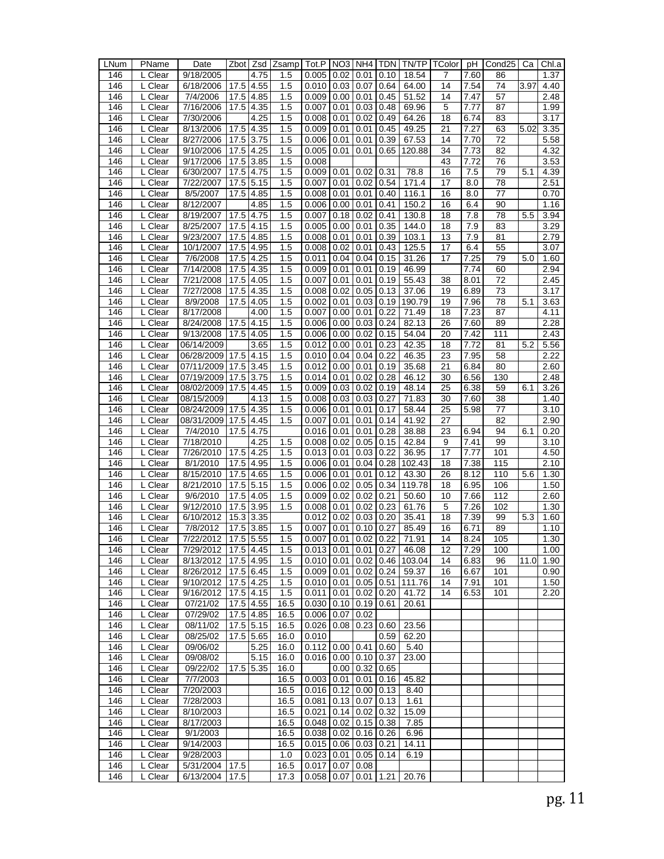| LNum | PName                | Date                  | Zbot                   | Zsd  | Zsamp | Tot.P                                 | NO3                 | NH4                  | TDN           | TN/TP  | TColor | рH   | Cond25 | Сa   | Chl.a |
|------|----------------------|-----------------------|------------------------|------|-------|---------------------------------------|---------------------|----------------------|---------------|--------|--------|------|--------|------|-------|
| 146  | L Clear              | 9/18/2005             |                        | 4.75 | 1.5   | 0.005                                 | 0.02                | 0.01                 | 0.10          | 18.54  | 7      | 7.60 | 86     |      | 1.37  |
| 146  | L Clear              | 6/18/2006             | 17.5                   | 4.55 | 1.5   | 0.010                                 | 0.03                | 0.07                 | 0.64          | 64.00  | 14     | 7.54 | 74     | 3.97 | 4.40  |
| 146  | L Clear              | 7/4/2006              | 17.5                   | 4.85 | 1.5   | 0.009                                 | 0.00                | 0.01                 | 0.45          | 51.52  | 14     | 7.47 | 57     |      | 2.48  |
| 146  | L Clear              | 7/16/2006             | 17.5                   | 4.35 | 1.5   | 0.007                                 | 0.01                | 0.03                 | 0.48          | 69.96  | 5      | 7.77 | 87     |      | 1.99  |
| 146  | L Clear              | 7/30/2006             |                        | 4.25 | 1.5   | 0.008                                 | 0.01                | 0.02                 | 0.49          | 64.26  | 18     | 6.74 | 83     |      | 3.17  |
| 146  | $\overline{L}$ Clear | 8/13/2006             | 17.5                   | 4.35 | 1.5   | 0.009                                 | 0.01                | 0.01                 | 0.45          | 49.25  | 21     | 7.27 | 63     | 5.02 | 3.35  |
| 146  | L Clear              | 8/27/2006             | 17.5                   | 3.75 | 1.5   | 0.006                                 | 0.01                | 0.01                 | 0.39          | 67.53  | 14     | 7.70 | 72     |      | 5.58  |
| 146  | L Clear              | 9/10/2006             | 17.5                   | 4.25 | 1.5   | 0.005                                 | 0.01                | 0.01                 | 0.65          | 120.88 | 34     | 7.73 | 82     |      | 4.32  |
| 146  | L Clear              | 9/17/2006             | 17.5                   | 3.85 | 1.5   | 0.008                                 |                     |                      |               |        | 43     | 7.72 | 76     |      | 3.53  |
| 146  | L Clear              | 6/30/2007             | 17.5                   | 4.75 | 1.5   | 0.009                                 | 0.01                | 0.02                 | 0.31          | 78.8   | 16     | 7.5  | 79     | 5.1  | 4.39  |
| 146  | L Clear              | 7/22/2007             | 17.5                   | 5.15 | 1.5   | 0.007                                 | 0.01                | 0.02                 | 0.54          | 171.4  | 17     | 8.0  | 78     |      | 2.51  |
| 146  | L Clear              | 8/5/2007              | 17.5                   | 4.85 | 1.5   | 0.008                                 | 0.01                | 0.01                 | 0.40          | 116.1  | 16     | 8.0  | 77     |      | 0.70  |
| 146  | L Clear              | 8/12/2007             |                        | 4.85 | 1.5   | 0.006                                 | 0.00                | 0.01                 | 0.41          | 150.2  | 16     | 6.4  | 90     |      | 1.16  |
| 146  | L Clear              | 8/19/2007             | 17.5                   | 4.75 | 1.5   | 0.007                                 | 0.18                | 0.02                 | 0.41          | 130.8  | 18     | 7.8  | 78     | 5.5  | 3.94  |
| 146  | L Clear              | 8/25/2007             | 17.5                   | 4.15 | 1.5   | 0.005                                 | 0.00                | 0.01                 | 0.35          | 144.0  | 18     | 7.9  | 83     |      | 3.29  |
| 146  | L Clear              | 9/23/2007             | 17.5                   | 4.85 | 1.5   | 0.008                                 | 0.01                | 0.01                 | 0.39          | 103.1  | 13     | 7.9  | 81     |      | 2.79  |
| 146  | L Clear              | 10/1/2007             | 17.5                   | 4.95 | 1.5   | 0.008                                 | 0.02                | 0.01                 | 0.43          | 125.5  | 17     | 6.4  | 55     |      | 3.07  |
| 146  | $\overline{L}$ Clear | 7/6/2008              | 17.5                   | 4.25 | 1.5   | 0.011                                 | 0.04                | 0.04                 | 0.15          | 31.26  | 17     | 7.25 | 79     | 5.0  | 1.60  |
| 146  | L Clear              | 7/14/2008             | 17.5                   | 4.35 | 1.5   | 0.009                                 | 0.01                | 0.01                 | 0.19          | 46.99  |        | 7.74 | 60     |      | 2.94  |
| 146  | L Clear              | 7/21/2008             | 17.5                   | 4.05 | 1.5   | 0.007                                 | 0.01                | 0.01                 | 0.19          | 55.43  | 38     | 8.01 | 72     |      | 2.45  |
| 146  | L Clear              | 7/27/2008             | 17.5                   | 4.35 | 1.5   | 0.008                                 | 0.02                | 0.05                 | 0.13          | 37.06  | 19     | 6.89 | 73     |      | 3.17  |
| 146  | L Clear              | 8/9/2008              | 17.5                   | 4.05 | 1.5   | 0.002                                 | 0.01                | 0.03                 | 0.19          | 190.79 | 19     | 7.96 | 78     | 5.1  | 3.63  |
| 146  | L Clear              | 8/17/2008             |                        | 4.00 | 1.5   | 0.007                                 | 0.00                | 0.01                 | 0.22          | 71.49  | 18     | 7.23 | 87     |      | 4.11  |
| 146  | L Clear              | 8/24/2008             | 17.5                   | 4.15 | 1.5   | 0.006                                 | 0.00                | 0.03                 | 0.24          | 82.13  | 26     | 7.60 | 89     |      | 2.28  |
| 146  | $\overline{L}$ Clear | 9/13/2008             | 17.5                   | 4.05 | 1.5   | 0.006                                 | 0.00                | 0.02                 | 0.15          | 54.04  | 20     | 7.42 | 111    |      | 2.43  |
| 146  | L Clear              | 06/14/2009            |                        | 3.65 | 1.5   | 0.012                                 | 0.00                | 0.01                 | 0.23          | 42.35  | 18     | 7.72 | 81     | 5.2  | 5.56  |
| 146  | L Clear              | 06/28/2009            | 17.5                   | 4.15 | 1.5   | 0.010                                 | 0.04                | 0.04                 | 0.22          | 46.35  | 23     | 7.95 | 58     |      | 2.22  |
| 146  | L Clear              | 07/11/2009            | 17.5                   | 3.45 | 1.5   | 0.012                                 | 0.00                | 0.01                 | 0.19          | 35.68  | 21     | 6.84 | 80     |      | 2.60  |
| 146  | L Clear              | 07/19/2009            | 17.5                   | 3.75 | 1.5   | 0.014                                 | 0.01                | 0.02                 | 0.28          | 46.12  | 30     | 6.56 | 130    |      | 2.48  |
| 146  | L Clear              | 08/02/2009            | 17.5                   | 4.45 | 1.5   | 0.009                                 | 0.03                | 0.02                 | 0.19          | 48.14  | 25     | 6.38 | 59     | 6.1  | 3.26  |
| 146  | L Clear              | 08/15/2009            |                        | 4.13 | 1.5   | 0.008                                 | 0.03                | 0.03                 | 0.27          | 71.83  | 30     | 7.60 | 38     |      | 1.40  |
| 146  | L Clear              | 08/24/2009            | 17.5                   | 4.35 | 1.5   | 0.006                                 | 0.01                | 0.01                 | 0.17          | 58.44  | 25     | 5.98 | 77     |      | 3.10  |
| 146  | L Clear              | 08/31/2009            | 17.5                   | 4.45 | 1.5   | 0.007                                 | 0.01                | 0.01                 | 0.14          | 41.92  | 27     |      | 82     |      | 2.90  |
| 146  | L Clear              | 7/4/2010              | 17.5                   | 4.75 |       | 0.016                                 | 0.01                | 0.01                 | 0.28          | 38.88  | 23     | 6.94 | 94     | 6.1  | 0.20  |
| 146  | L Clear              | 7/18/2010             |                        | 4.25 | 1.5   | 0.008                                 | 0.02                | 0.05                 | 0.15          | 42.84  | 9      | 7.41 | 99     |      | 3.10  |
| 146  | L Clear              | 7/26/2010             | 17.5                   | 4.25 | 1.5   | 0.013                                 | 0.01                | 0.03                 | 0.22          | 36.95  | 17     | 7.77 | 101    |      | 4.50  |
| 146  | L Clear              | 8/1/2010              | 17.5                   | 4.95 | 1.5   | 0.006                                 | 0.01                | 0.04                 | 0.28          | 102.43 | 18     | 7.38 | 115    |      | 2.10  |
| 146  | L Clear              | 8/15/2010             | 17.5                   | 4.65 | 1.5   | 0.006                                 | 0.01                | 0.01                 | 0.12          | 43.30  | 26     | 8.12 | 110    | 5.6  | 1.30  |
| 146  | L Clear              | 8/21/2010             | 17.5                   | 5.15 | 1.5   | 0.006                                 | 0.02                | 0.05                 | 0.34          | 119.78 | 18     | 6.95 | 106    |      | 1.50  |
| 146  | L Clear              | 9/6/2010              | 17.5                   | 4.05 | 1.5   | 0.009                                 | 0.02                | 0.02                 | 0.21          | 50.60  | 10     | 7.66 | 112    |      | 2.60  |
| 146  | L Clear              | 9/12/2010             | 17.5                   | 3.95 | 1.5   | 0.008                                 | 0.01                | 0.02                 | 0.23          | 61.76  | 5      | 7.26 | 102    |      | 1.30  |
| 146  | L Clear              | 6/10/2012             | 15.3                   | 3.35 |       | 0.012                                 | 0.02                | 0.03                 | 0.20          | 35.41  | 18     | 7.39 | 99     | 5.3  | 1.60  |
| 146  | L<br>Clear           | 7/8/2012              | 17.5                   | 3.85 | 1.5   | 0.007                                 | 0.01                | 0.10                 | 0.27          | 85.49  | 16     | 6.71 | 89     |      | 1.10  |
| 146  | L Clear              | 7/22/2012             | 17.5                   | 5.55 | 1.5   | 0.007                                 | 0.01                | 0.02                 | 0.22          | 71.91  | 14     | 8.24 | 105    |      | 1.30  |
| 146  | L Clear              | 7/29/2012 17.5 4.45   |                        |      | 1.5   | $0.013 \mid 0.01 \mid 0.01 \mid 0.27$ |                     |                      |               | 46.08  | 12     | 7.29 | 100    |      | 1.00  |
| 146  | L Clear              | 8/13/2012             | 17.5 4.95              |      | 1.5   | 0.010                                 | 0.01                |                      | $0.02 \ 0.46$ | 103.04 | 14     | 6.83 | 96     | 11.0 | 1.90  |
| 146  | L Clear              | 8/26/2012             | 17.5 6.45              |      | 1.5   | 0.009                                 | 0.01                |                      | $0.02 \ 0.24$ | 59.37  | 16     | 6.67 | 101    |      | 0.90  |
| 146  | L Clear              | 9/10/2012             | $\overline{17.5}$ 4.25 |      | 1.5   | 0.010                                 | 0.01                | $0.05$ 0.51          |               | 111.76 | 14     | 7.91 | 101    |      | 1.50  |
| 146  | L Clear              | 9/16/2012             | 17.5 4.15              |      | 1.5   | 0.011                                 | 0.01                | 0.02                 | 0.20          | 41.72  | 14     | 6.53 | 101    |      | 2.20  |
| 146  | L Clear              | 07/21/02              | $17.5$ 4.55            |      | 16.5  | 0.030                                 | 0.10                | 0.19                 | 0.61          | 20.61  |        |      |        |      |       |
| 146  | L Clear              | 07/29/02              | $\overline{17.5}$ 4.85 |      | 16.5  | 0.006                                 | $0.07$ 0.02         |                      |               |        |        |      |        |      |       |
| 146  | L Clear              | 08/11/02              | 17.5 5.15              |      | 16.5  | 0.026                                 | 0.08                | 0.23                 | 0.60          | 23.56  |        |      |        |      |       |
| 146  | $\overline{L}$ Clear | 08/25/02              | 17.5 5.65              |      | 16.0  | 0.010                                 |                     |                      | 0.59          | 62.20  |        |      |        |      |       |
| 146  | L Clear              | 09/06/02              |                        | 5.25 | 16.0  | 0.112                                 | 0.00                | 0.41                 | 0.60          | 5.40   |        |      |        |      |       |
| 146  | L Clear              | 09/08/02              |                        | 5.15 | 16.0  | 0.016                                 | $0.00 \,   \, 0.10$ |                      | 0.37          | 23.00  |        |      |        |      |       |
| 146  | L Clear              | 09/22/02              | 17.5 5.35              |      | 16.0  |                                       | 0.00                | 0.32                 | 0.65          |        |        |      |        |      |       |
| 146  | L Clear              | 7/7/2003              |                        |      | 16.5  | 0.003                                 | 0.01                | 0.01                 | 0.16          | 45.82  |        |      |        |      |       |
| 146  | L Clear              | 7/20/2003             |                        |      | 16.5  | 0.016                                 |                     | $0.12$   0.00   0.13 |               | 8.40   |        |      |        |      |       |
| 146  | L Clear              | 7/28/2003             |                        |      | 16.5  | 0.081                                 | 0.13                | 0.07                 | 0.13          | 1.61   |        |      |        |      |       |
| 146  | L Clear              | 8/10/2003             |                        |      | 16.5  | 0.021                                 | 0.14                | 0.02                 | 0.32          | 15.09  |        |      |        |      |       |
| 146  | L Clear              | 8/17/2003             |                        |      | 16.5  | 0.048                                 |                     | $0.02$ 0.15 0.38     |               | 7.85   |        |      |        |      |       |
| 146  | L Clear              | 9/1/2003              |                        |      | 16.5  | 0.038                                 | 0.02                | 0.16                 | 0.26          | 6.96   |        |      |        |      |       |
| 146  | L Clear              | $\frac{1}{9/14/2003}$ |                        |      | 16.5  | 0.015                                 |                     | $0.06$ 0.03 0.21     |               | 14.11  |        |      |        |      |       |
| 146  | L Clear              | 9/28/2003             |                        |      | 1.0   | 0.023                                 |                     | $0.01$   0.05   0.14 |               | 6.19   |        |      |        |      |       |
| 146  | L Clear              | 5/31/2004             | 17.5                   |      | 16.5  | 0.017                                 | 0.07                | 0.08                 |               |        |        |      |        |      |       |
| 146  | L Clear              | 6/13/2004             | 17.5                   |      | 17.3  | 0.058                                 | 0.07                | 0.01                 | 1.21          | 20.76  |        |      |        |      |       |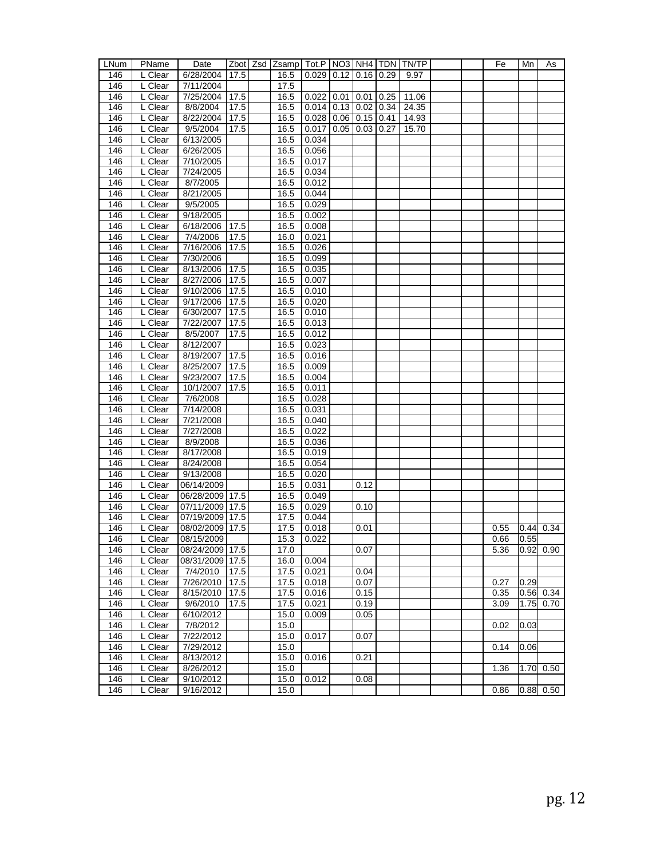| LNum | PName     | Date               |      | Zbot   Zsd   Zsamp   Tot.P   NO3   NH4   TDN   TN/TP |                              |      |      |       |  | Fe   | Mn   | As             |
|------|-----------|--------------------|------|------------------------------------------------------|------------------------------|------|------|-------|--|------|------|----------------|
| 146  | L Clear   | 6/28/2004          | 17.5 | 16.5                                                 | $0.029$   0.12   0.16   0.29 |      |      | 9.97  |  |      |      |                |
| 146  | L Clear   | 7/11/2004          |      | 17.5                                                 |                              |      |      |       |  |      |      |                |
| 146  | L Clear   | 7/25/2004          | 17.5 | 16.5                                                 | $0.022$ 0.01                 | 0.01 | 0.25 | 11.06 |  |      |      |                |
| 146  | L Clear   | 8/8/2004           | 17.5 | 16.5                                                 | $0.014$   0.13   0.02   0.34 |      |      | 24.35 |  |      |      |                |
| 146  | L Clear   | 8/22/2004          | 17.5 | 16.5                                                 | $0.028$   0.06   0.15   0.41 |      |      | 14.93 |  |      |      |                |
| 146  | L Clear   | 9/5/2004           | 17.5 | 16.5                                                 | $0.017$ 0.05 0.03 0.27       |      |      | 15.70 |  |      |      |                |
| 146  | L Clear   | 6/13/2005          |      | 16.5                                                 | 0.034                        |      |      |       |  |      |      |                |
| 146  | L Clear   | 6/26/2005          |      | 16.5                                                 | 0.056                        |      |      |       |  |      |      |                |
| 146  | L Clear   | 7/10/2005          |      | 16.5                                                 | 0.017                        |      |      |       |  |      |      |                |
| 146  | L Clear   | 7/24/2005          |      | 16.5                                                 | 0.034                        |      |      |       |  |      |      |                |
| 146  | L Clear   | 8/7/2005           |      | 16.5                                                 | 0.012                        |      |      |       |  |      |      |                |
| 146  | L Clear   | 8/21/2005          |      | 16.5                                                 | 0.044                        |      |      |       |  |      |      |                |
| 146  | L Clear   | 9/5/2005           |      | 16.5                                                 | 0.029                        |      |      |       |  |      |      |                |
| 146  | L Clear   | 9/18/2005          |      | 16.5                                                 | 0.002                        |      |      |       |  |      |      |                |
| 146  | L Clear   | 6/18/2006          | 17.5 | 16.5                                                 | 0.008                        |      |      |       |  |      |      |                |
| 146  | L Clear   | 7/4/2006           | 17.5 | 16.0                                                 | 0.021                        |      |      |       |  |      |      |                |
| 146  | L Clear   | 7/16/2006          | 17.5 | 16.5                                                 | 0.026                        |      |      |       |  |      |      |                |
| 146  | L Clear   | 7/30/2006          |      | 16.5                                                 | 0.099                        |      |      |       |  |      |      |                |
| 146  | L Clear   | 8/13/2006          | 17.5 | 16.5                                                 | 0.035                        |      |      |       |  |      |      |                |
| 146  | L Clear   | 8/27/2006          | 17.5 | 16.5                                                 | 0.007                        |      |      |       |  |      |      |                |
| 146  | L Clear   | 9/10/2006          | 17.5 | 16.5                                                 | 0.010                        |      |      |       |  |      |      |                |
| 146  | L Clear   | 9/17/2006          | 17.5 | 16.5                                                 | 0.020                        |      |      |       |  |      |      |                |
| 146  | L Clear   | 6/30/2007          | 17.5 | 16.5                                                 | 0.010                        |      |      |       |  |      |      |                |
| 146  | L Clear   | 7/22/2007          | 17.5 | 16.5                                                 | 0.013                        |      |      |       |  |      |      |                |
| 146  | $L$ Clear | 8/5/2007           | 17.5 | 16.5                                                 | 0.012                        |      |      |       |  |      |      |                |
| 146  | L Clear   | 8/12/2007          |      | 16.5                                                 | 0.023                        |      |      |       |  |      |      |                |
| 146  | L Clear   | $\sqrt{8/19/2007}$ | 17.5 | 16.5                                                 | 0.016                        |      |      |       |  |      |      |                |
| 146  | L Clear   | 8/25/2007          | 17.5 | 16.5                                                 | 0.009                        |      |      |       |  |      |      |                |
| 146  | L Clear   | 9/23/2007          | 17.5 | 16.5                                                 | 0.004                        |      |      |       |  |      |      |                |
| 146  | L Clear   | 10/1/2007          | 17.5 | 16.5                                                 | 0.011                        |      |      |       |  |      |      |                |
| 146  | L Clear   | 7/6/2008           |      | 16.5                                                 | 0.028                        |      |      |       |  |      |      |                |
| 146  | L Clear   | 7/14/2008          |      | 16.5                                                 | 0.031                        |      |      |       |  |      |      |                |
| 146  | L Clear   | 7/21/2008          |      | 16.5                                                 | 0.040                        |      |      |       |  |      |      |                |
| 146  | L Clear   | 7/27/2008          |      | 16.5                                                 | 0.022                        |      |      |       |  |      |      |                |
| 146  | L Clear   | 8/9/2008           |      | 16.5                                                 | 0.036                        |      |      |       |  |      |      |                |
| 146  | L Clear   | 8/17/2008          |      | 16.5                                                 | 0.019                        |      |      |       |  |      |      |                |
| 146  | L Clear   | 8/24/2008          |      | 16.5                                                 | 0.054                        |      |      |       |  |      |      |                |
| 146  | L Clear   | 9/13/2008          |      | 16.5                                                 | 0.020                        |      |      |       |  |      |      |                |
| 146  | L Clear   | 06/14/2009         |      | 16.5                                                 | 0.031                        | 0.12 |      |       |  |      |      |                |
| 146  | L Clear   | 06/28/2009 17.5    |      | 16.5                                                 | 0.049                        |      |      |       |  |      |      |                |
| 146  | L Clear   | 07/11/2009 17.5    |      | 16.5                                                 | 0.029                        | 0.10 |      |       |  |      |      |                |
| 146  | L Clear   | 07/19/2009 17.5    |      | 17.5                                                 | 0.044                        |      |      |       |  |      |      |                |
| 146  | L Clear   | 08/02/2009 17.5    |      | 17.5                                                 | 0.018                        | 0.01 |      |       |  | 0.55 |      | $0.44 \, 0.34$ |
| 146  | L Clear   | 08/15/2009         |      | 15.3                                                 | 0.022                        |      |      |       |  | 0.66 | 0.55 |                |
| 146  | L Clear   | 08/24/2009 17.5    |      | 17.0                                                 |                              | 0.07 |      |       |  | 5.36 |      | $0.92 \ 0.90$  |
| 146  | L Clear   | 08/31/2009 17.5    |      | 16.0                                                 | 0.004                        |      |      |       |  |      |      |                |
| 146  | L Clear   | 7/4/2010           | 17.5 | 17.5                                                 | 0.021                        | 0.04 |      |       |  |      |      |                |
| 146  | L Clear   | 7/26/2010          | 17.5 | 17.5                                                 | 0.018                        | 0.07 |      |       |  | 0.27 | 0.29 |                |
| 146  | L Clear   | 8/15/2010          | 17.5 | 17.5                                                 | 0.016                        | 0.15 |      |       |  | 0.35 |      | $0.56$ 0.34    |
| 146  | L Clear   | 9/6/2010           | 17.5 | 17.5                                                 | 0.021                        | 0.19 |      |       |  | 3.09 | 1.75 | 0.70           |
| 146  | L Clear   | 6/10/2012          |      | 15.0                                                 | 0.009                        | 0.05 |      |       |  |      |      |                |
| 146  | L Clear   | 7/8/2012           |      | 15.0                                                 |                              |      |      |       |  | 0.02 | 0.03 |                |
| 146  | L Clear   | 7/22/2012          |      | 15.0                                                 | 0.017                        | 0.07 |      |       |  |      |      |                |
| 146  | L Clear   | 7/29/2012          |      | 15.0                                                 |                              |      |      |       |  | 0.14 | 0.06 |                |
| 146  | L Clear   | 8/13/2012          |      | 15.0                                                 | 0.016                        | 0.21 |      |       |  |      |      |                |
| 146  | L Clear   | 8/26/2012          |      | 15.0                                                 |                              |      |      |       |  | 1.36 | 1.70 | 0.50           |
| 146  | L Clear   | 9/10/2012          |      | 15.0                                                 | 0.012                        | 0.08 |      |       |  |      |      |                |
| 146  | L Clear   | 9/16/2012          |      | 15.0                                                 |                              |      |      |       |  | 0.86 | 0.88 | 0.50           |
|      |           |                    |      |                                                      |                              |      |      |       |  |      |      |                |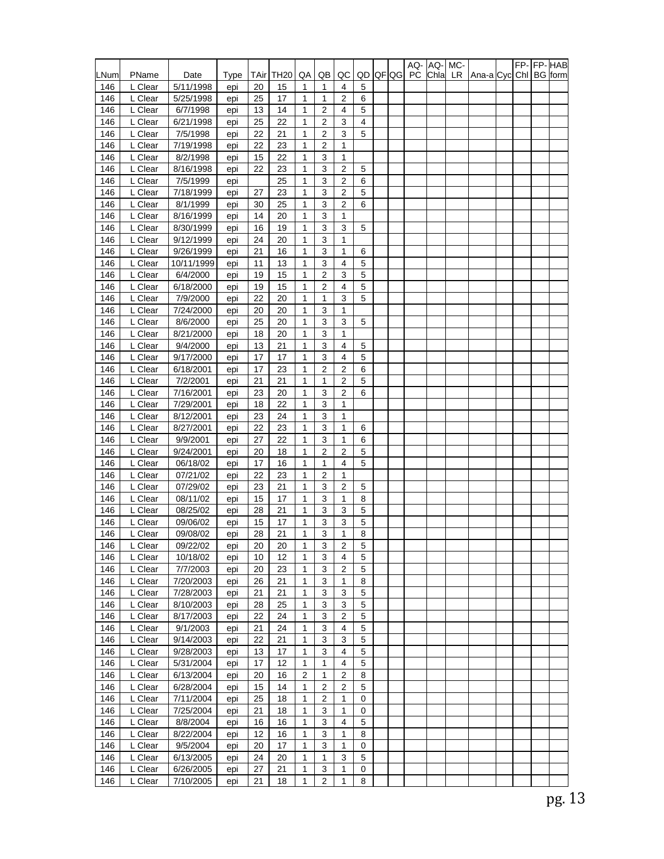|            |                    |                        |            |          |                  |                   |                                  |                  |                 |              | AQ- AQ- MC- |      |     |                |  |                | FP-FP-HAB |
|------------|--------------------|------------------------|------------|----------|------------------|-------------------|----------------------------------|------------------|-----------------|--------------|-------------|------|-----|----------------|--|----------------|-----------|
| LNum       | PName              | Date                   | Type       | TAir     | TH <sub>20</sub> | QA                | QB                               | QC               | QD              | <b>QF QG</b> | PC          | Chla | LR. | Ana-a Cycl Chl |  | <b>BG</b> form |           |
| 146        | L Clear            | 5/11/1998              | epi        | 20       | 15               | 1                 | 1                                | 4                | 5               |              |             |      |     |                |  |                |           |
| 146        | L Clear            | 5/25/1998              | epi        | 25       | 17               | 1                 | 1                                | 2                | 6               |              |             |      |     |                |  |                |           |
| 146        | L Clear            | 6/7/1998               | epi        | 13       | 14               | 1                 | 2                                | 4                | 5               |              |             |      |     |                |  |                |           |
| 146        | L Clear            | 6/21/1998              | epi        | 25       | 22<br>21         | 1<br>$\mathbf{1}$ | $\overline{2}$<br>$\overline{2}$ | 3<br>3           | 4<br>5          |              |             |      |     |                |  |                |           |
| 146        | L Clear<br>L Clear | 7/5/1998<br>7/19/1998  | epi        | 22<br>22 | 23               | 1                 | 2                                | 1                |                 |              |             |      |     |                |  |                |           |
| 146<br>146 | L Clear            | 8/2/1998               | epi<br>epi | 15       | 22               | 1                 | 3                                | 1                |                 |              |             |      |     |                |  |                |           |
| 146        | L Clear            | 8/16/1998              | epi        | 22       | 23               | 1                 | 3                                | $\overline{2}$   | 5               |              |             |      |     |                |  |                |           |
| 146        | L Clear            | 7/5/1999               | epi        |          | 25               | 1                 | 3                                | 2                | 6               |              |             |      |     |                |  |                |           |
| 146        | L Clear            | 7/18/1999              | epi        | 27       | 23               | $\mathbf{1}$      | 3                                | $\overline{2}$   | 5               |              |             |      |     |                |  |                |           |
| 146        | L Clear            | 8/1/1999               | epi        | 30       | 25               | 1                 | 3                                | 2                | 6               |              |             |      |     |                |  |                |           |
| 146        | L Clear            | 8/16/1999              | epi        | 14       | 20               | 1                 | 3                                | 1                |                 |              |             |      |     |                |  |                |           |
| 146        | L Clear            | 8/30/1999              | epi        | 16       | 19               | 1                 | 3                                | 3                | 5               |              |             |      |     |                |  |                |           |
| 146        | L Clear            | 9/12/1999              | epi        | 24       | 20               | 1                 | 3                                | 1                |                 |              |             |      |     |                |  |                |           |
| 146        | L Clear            | 9/26/1999              | epi        | 21       | 16               | 1                 | $\ensuremath{\mathsf{3}}$        | 1                | 6               |              |             |      |     |                |  |                |           |
| 146        | L Clear            | 10/11/1999             | epi        | 11       | 13               | 1                 | 3                                | 4                | 5               |              |             |      |     |                |  |                |           |
| 146        | L Clear            | 6/4/2000               | epi        | 19       | 15               | 1                 | 2                                | 3                | 5               |              |             |      |     |                |  |                |           |
| 146        | L Clear            | 6/18/2000              | epi        | 19       | 15               | 1                 | $\overline{2}$                   | 4                | 5               |              |             |      |     |                |  |                |           |
| 146        | L Clear            | 7/9/2000               | epi        | 22       | 20               | 1                 | 1                                | 3                | 5               |              |             |      |     |                |  |                |           |
| 146        | L Clear            | 7/24/2000              | epi        | 20       | 20               | 1                 | 3                                | 1                |                 |              |             |      |     |                |  |                |           |
| 146        | L Clear            | 8/6/2000               | epi        | 25       | 20               | $\mathbf{1}$      | 3                                | 3                | 5               |              |             |      |     |                |  |                |           |
| 146        | L Clear            | 8/21/2000              | epi        | 18       | 20               | 1                 | 3                                | 1                |                 |              |             |      |     |                |  |                |           |
| 146        | L Clear<br>L Clear | 9/4/2000               | epi        | 13       | 21               | 1<br>$\mathbf{1}$ | 3<br>3                           | 4<br>4           | 5<br>5          |              |             |      |     |                |  |                |           |
| 146<br>146 | L Clear            | 9/17/2000<br>6/18/2001 | epi        | 17<br>17 | 17<br>23         | 1                 | $\overline{c}$                   | $\overline{2}$   | 6               |              |             |      |     |                |  |                |           |
| 146        | L Clear            | 7/2/2001               | epi<br>epi | 21       | 21               | $\mathbf{1}$      | $\mathbf{1}$                     | $\overline{2}$   | 5               |              |             |      |     |                |  |                |           |
| 146        | L Clear            | 7/16/2001              | epi        | 23       | 20               | 1                 | 3                                | 2                | 6               |              |             |      |     |                |  |                |           |
| 146        | L Clear            | 7/29/2001              | epi        | 18       | 22               | 1                 | 3                                | 1                |                 |              |             |      |     |                |  |                |           |
| 146        | L Clear            | 8/12/2001              | epi        | 23       | 24               | 1                 | 3                                | 1                |                 |              |             |      |     |                |  |                |           |
| 146        | L Clear            | 8/27/2001              | epi        | 22       | 23               | 1                 | 3                                | 1                | 6               |              |             |      |     |                |  |                |           |
| 146        | L Clear            | 9/9/2001               | epi        | 27       | 22               | $\mathbf{1}$      | 3                                | 1                | 6               |              |             |      |     |                |  |                |           |
| 146        | L Clear            | 9/24/2001              | epi        | 20       | 18               | 1                 | 2                                | 2                | 5               |              |             |      |     |                |  |                |           |
| 146        | L Clear            | 06/18/02               | epi        | 17       | 16               | 1                 | 1                                | 4                | 5               |              |             |      |     |                |  |                |           |
| 146        | L Clear            | 07/21/02               | epi        | 22       | 23               | 1                 | $\overline{2}$                   | 1                |                 |              |             |      |     |                |  |                |           |
| 146        | L Clear            | 07/29/02               | epi        | 23       | 21               | 1                 | 3                                | $\overline{2}$   | 5               |              |             |      |     |                |  |                |           |
| 146        | L Clear            | 08/11/02               | epi        | 15       | 17               | 1                 | 3                                | 1                | 8               |              |             |      |     |                |  |                |           |
| 146        | L Clear            | 08/25/02               | epi        | 28       | 21               | 1                 | 3                                | 3                | 5               |              |             |      |     |                |  |                |           |
| 146        | L Clear            | 09/06/02               | epi        | 15       | 17               | 1                 | 3                                | 3                | 5               |              |             |      |     |                |  |                |           |
| 146        | L Clear            | 09/08/02               | epi        | 28       | 21               | $\mathbf{1}$      | 3                                | 1                | 8               |              |             |      |     |                |  |                |           |
| 146        | L Clear            | 09/22/02               | epi        | 20       | 20               | $\mathbf{1}$      | $\mathbf{3}$                     | $\overline{2}$   | $5\phantom{.0}$ |              |             |      |     |                |  |                |           |
| 146        | L Clear            | 10/18/02               | epi        | 10       | 12               | 1                 | 3                                | 4                | 5               |              |             |      |     |                |  |                |           |
| 146<br>146 | L Clear<br>L Clear | 7/7/2003<br>7/20/2003  | epi        | 20<br>26 | 23<br>21         | 1<br>1            | 3<br>3                           | 2<br>1           | 5<br>8          |              |             |      |     |                |  |                |           |
| 146        | L Clear            | 7/28/2003              | epi<br>epi | 21       | 21               | 1                 | 3                                | 3                | 5               |              |             |      |     |                |  |                |           |
| 146        | L Clear            | 8/10/2003              | epi        | 28       | 25               | 1                 | 3                                | 3                | 5               |              |             |      |     |                |  |                |           |
| 146        | L Clear            | 8/17/2003              | epi        | 22       | 24               | 1                 | 3                                | $\boldsymbol{2}$ | $\mathbf 5$     |              |             |      |     |                |  |                |           |
| 146        | L Clear            | 9/1/2003               | epi        | 21       | 24               | 1                 | 3                                | 4                | $\mathbf 5$     |              |             |      |     |                |  |                |           |
| 146        | L Clear            | 9/14/2003              | epi        | 22       | 21               | 1                 | 3                                | 3                | 5               |              |             |      |     |                |  |                |           |
| 146        | L Clear            | 9/28/2003              | epi        | 13       | 17               | 1                 | 3                                | 4                | $\mathbf 5$     |              |             |      |     |                |  |                |           |
| 146        | L Clear            | 5/31/2004              | epi        | 17       | 12               | 1                 | 1                                | 4                | 5               |              |             |      |     |                |  |                |           |
| 146        | L Clear            | 6/13/2004              | epi        | 20       | 16               | 2                 | $\mathbf{1}$                     | $\boldsymbol{2}$ | 8               |              |             |      |     |                |  |                |           |
| 146        | L Clear            | 6/28/2004              | epi        | 15       | 14               | 1                 | 2                                | 2                | 5               |              |             |      |     |                |  |                |           |
| 146        | L Clear            | 7/11/2004              | epi        | 25       | 18               | 1                 | 2                                | 1                | 0               |              |             |      |     |                |  |                |           |
| 146        | L Clear            | 7/25/2004              | epi        | 21       | 18               | 1                 | 3                                | 1                | 0               |              |             |      |     |                |  |                |           |
| 146        | L Clear            | 8/8/2004               | epi        | 16       | 16               | 1                 | 3                                | 4                | 5               |              |             |      |     |                |  |                |           |
| 146        | L Clear            | 8/22/2004              | epi        | 12       | 16               | 1                 | 3                                | 1                | 8               |              |             |      |     |                |  |                |           |
| 146        | L Clear            | 9/5/2004               | epi        | 20       | 17               | 1                 | 3                                | 1                | 0               |              |             |      |     |                |  |                |           |
| 146        | L Clear            | 6/13/2005              | epi        | 24       | 20               | 1                 | 1                                | 3                | $\mathbf 5$     |              |             |      |     |                |  |                |           |
| 146        | L Clear            | 6/26/2005              | epi        | 27       | 21               | 1                 | 3<br>2                           | 1<br>1           | 0               |              |             |      |     |                |  |                |           |
| 146        | L Clear            | 7/10/2005              | epi        | 21       | 18               | 1                 |                                  |                  | 8               |              |             |      |     |                |  |                |           |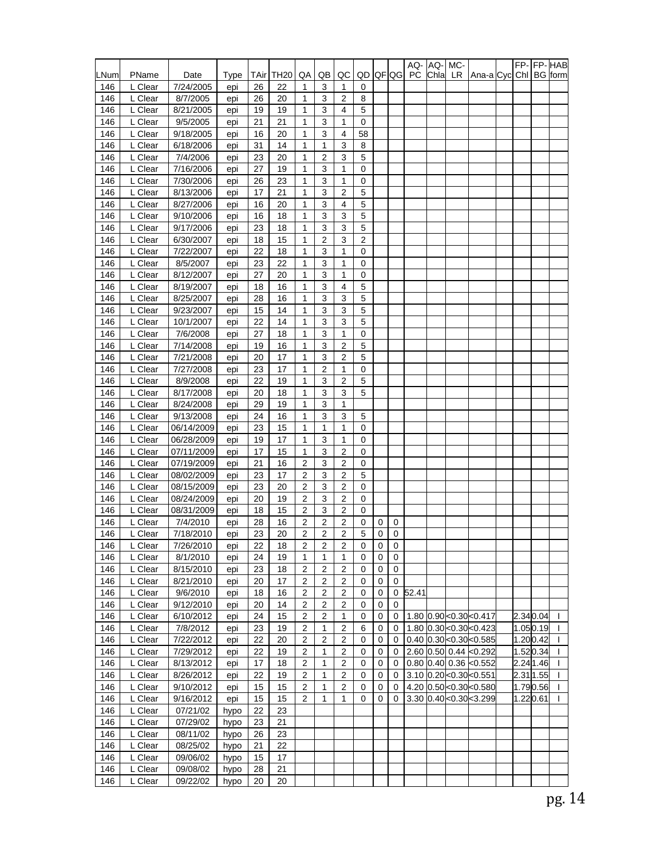|            |                    |                        |            |          |                  |                                  |                         |                                  |                     |                |                  | AQ-       | AQ-  | MC- |                                |          |                | FP- FP- HAB  |
|------------|--------------------|------------------------|------------|----------|------------------|----------------------------------|-------------------------|----------------------------------|---------------------|----------------|------------------|-----------|------|-----|--------------------------------|----------|----------------|--------------|
| LNum       | PName              | Date                   | Type       | TAir     | TH <sub>20</sub> | QA                               | QB                      | QC                               | QD                  |                | <b>QF QG</b>     | <b>PC</b> | Chla | LR. | Ana-a Cycl Chl                 |          | <b>BG</b> form |              |
| 146        | L Clear            | 7/24/2005              | epi        | 26       | 22               | 1                                | 3<br>3                  | 1                                | 0                   |                |                  |           |      |     |                                |          |                |              |
| 146<br>146 | L Clear<br>L Clear | 8/7/2005<br>8/21/2005  | epi<br>epi | 26<br>19 | 20<br>19         | 1<br>1                           | 3                       | 2<br>4                           | 8<br>5              |                |                  |           |      |     |                                |          |                |              |
| 146        | L Clear            | 9/5/2005               | epi        | 21       | 21               | $\mathbf{1}$                     | 3                       | 1                                | 0                   |                |                  |           |      |     |                                |          |                |              |
| 146        | L Clear            | 9/18/2005              | epi        | 16       | 20               | $\mathbf{1}$                     | 3                       | 4                                | 58                  |                |                  |           |      |     |                                |          |                |              |
| 146        | L Clear            | 6/18/2006              | epi        | 31       | 14               | 1                                | 1                       | 3                                | 8                   |                |                  |           |      |     |                                |          |                |              |
| 146        | L Clear            | 7/4/2006               | epi        | 23       | 20               | 1                                | 2                       | 3                                | 5                   |                |                  |           |      |     |                                |          |                |              |
| 146        | L Clear            | 7/16/2006              | epi        | 27       | 19               | $\mathbf{1}$                     | 3                       | 1                                | 0                   |                |                  |           |      |     |                                |          |                |              |
| 146        | L Clear            | 7/30/2006              | epi        | 26       | 23               | $\mathbf{1}$                     | 3                       | 1                                | 0                   |                |                  |           |      |     |                                |          |                |              |
| 146        | L Clear            | 8/13/2006              | epi        | 17       | 21               | $\mathbf{1}$                     | 3                       | $\overline{2}$                   | 5                   |                |                  |           |      |     |                                |          |                |              |
| 146        | L Clear            | 8/27/2006              | epi        | 16       | 20               | 1                                | 3                       | 4                                | 5                   |                |                  |           |      |     |                                |          |                |              |
| 146        | L Clear            | 9/10/2006              | epi        | 16       | 18               | 1                                | 3                       | 3                                | 5                   |                |                  |           |      |     |                                |          |                |              |
| 146        | L Clear            | 9/17/2006              | epi        | 23       | 18               | 1                                | 3                       | 3                                | 5                   |                |                  |           |      |     |                                |          |                |              |
| 146        | L Clear            | 6/30/2007              | epi        | 18       | 15               | $\mathbf{1}$                     | $\overline{2}$          | 3                                | $\overline{2}$      |                |                  |           |      |     |                                |          |                |              |
| 146        | L Clear            | 7/22/2007              | epi        | 22       | 18               | $\mathbf{1}$                     | 3                       | 1                                | 0                   |                |                  |           |      |     |                                |          |                |              |
| 146        | L Clear            | 8/5/2007               | epi        | 23       | 22               | 1                                | 3                       | 1                                | 0                   |                |                  |           |      |     |                                |          |                |              |
| 146        | L Clear            | 8/12/2007              | epi        | 27       | 20               | 1                                | 3                       | 1                                | 0                   |                |                  |           |      |     |                                |          |                |              |
| 146        | L Clear            | 8/19/2007              | epi        | 18       | 16               | 1                                | 3                       | 4                                | 5                   |                |                  |           |      |     |                                |          |                |              |
| 146        | L Clear            | 8/25/2007              | epi        | 28       | 16               | 1                                | 3                       | 3                                | 5                   |                |                  |           |      |     |                                |          |                |              |
| 146        | L Clear            | 9/23/2007              | epi        | 15       | 14               | $\mathbf{1}$                     | 3                       | 3                                | 5                   |                |                  |           |      |     |                                |          |                |              |
| 146<br>146 | L Clear<br>L Clear | 10/1/2007<br>7/6/2008  | epi        | 22<br>27 | 14<br>18         | $\mathbf{1}$<br>1                | 3<br>3                  | 3<br>1                           | 5<br>0              |                |                  |           |      |     |                                |          |                |              |
| 146        | L Clear            | 7/14/2008              | epi        | 19       | 16               | 1                                | 3                       | 2                                | 5                   |                |                  |           |      |     |                                |          |                |              |
| 146        | L Clear            | 7/21/2008              | epi<br>epi | 20       | 17               | 1                                | 3                       | 2                                | 5                   |                |                  |           |      |     |                                |          |                |              |
| 146        | L Clear            | 7/27/2008              | epi        | 23       | 17               | $\mathbf{1}$                     | $\overline{\mathbf{c}}$ | $\mathbf{1}$                     | 0                   |                |                  |           |      |     |                                |          |                |              |
| 146        | L Clear            | 8/9/2008               | epi        | 22       | 19               | $\mathbf{1}$                     | 3                       | $\overline{2}$                   | 5                   |                |                  |           |      |     |                                |          |                |              |
| 146        | L Clear            | 8/17/2008              | epi        | 20       | 18               | 1                                | 3                       | 3                                | 5                   |                |                  |           |      |     |                                |          |                |              |
| 146        | L Clear            | 8/24/2008              | epi        | 29       | 19               | 1                                | 3                       | 1                                |                     |                |                  |           |      |     |                                |          |                |              |
| 146        | L Clear            | 9/13/2008              | epi        | 24       | 16               | 1                                | 3                       | 3                                | 5                   |                |                  |           |      |     |                                |          |                |              |
| 146        | L Clear            | 06/14/2009             | epi        | 23       | 15               | $\mathbf{1}$                     | 1                       | 1                                | 0                   |                |                  |           |      |     |                                |          |                |              |
| 146        | L Clear            | 06/28/2009             | epi        | 19       | 17               | 1                                | 3                       | 1                                | 0                   |                |                  |           |      |     |                                |          |                |              |
| 146        | L Clear            | 07/11/2009             | epi        | 17       | 15               | 1                                | 3                       | 2                                | 0                   |                |                  |           |      |     |                                |          |                |              |
| 146        | L Clear            | 07/19/2009             | epi        | 21       | 16               | $\overline{2}$                   | 3                       | 2                                | 0                   |                |                  |           |      |     |                                |          |                |              |
| 146        | L Clear            | 08/02/2009             | epi        | 23       | 17               | $\overline{2}$                   | 3                       | $\overline{2}$                   | 5                   |                |                  |           |      |     |                                |          |                |              |
| 146        | L Clear            | 08/15/2009             | epi        | 23       | 20               | $\overline{2}$                   | 3                       | $\overline{2}$                   | 0                   |                |                  |           |      |     |                                |          |                |              |
| 146        | L Clear            | 08/24/2009             | epi        | 20       | 19               | $\overline{2}$                   | 3                       | 2                                | 0                   |                |                  |           |      |     |                                |          |                |              |
| 146        | L Clear            | 08/31/2009             | epi        | 18       | 15               | 2                                | 3                       | 2                                | 0                   |                |                  |           |      |     |                                |          |                |              |
| 146        | L Clear            | 7/4/2010               | epi        | 28       | 16               | 2                                | 2                       | 2                                | 0                   | 0              | 0                |           |      |     |                                |          |                |              |
| 146        | L Clear            | 7/18/2010<br>7/26/2010 | epi        | 23<br>22 | 20               | $\overline{2}$<br>$\overline{2}$ | 2<br>$\overline{2}$     | $\overline{2}$<br>$\overline{2}$ | 5                   | 0<br>$\pmb{0}$ | 0<br>$\mathbf 0$ |           |      |     |                                |          |                |              |
| 146<br>146 | L Clear            |                        | epi        |          | 18<br>19         | $\mathbf{1}$                     | $\mathbf{1}$            | $\mathbf{1}$                     | $\overline{0}$<br>0 | 0              | 0                |           |      |     |                                |          |                |              |
| 146        | L Clear<br>L Clear | 8/1/2010<br>8/15/2010  | epi<br>epi | 24<br>23 | 18               | 2                                | $\overline{c}$          | 2                                | 0                   | 0              | 0                |           |      |     |                                |          |                |              |
| 146        | L Clear            | 8/21/2010              | epi        | 20       | 17               | $\overline{2}$                   | 2                       | $\overline{c}$                   | 0                   | 0              | 0                |           |      |     |                                |          |                |              |
| 146        | L Clear            | 9/6/2010               | epi        | 18       | 16               | 2                                | 2                       | 2                                | 0                   | 0              | 0                | 52.41     |      |     |                                |          |                |              |
| 146        | L Clear            | 9/12/2010              | epi        | 20       | 14               | $\overline{2}$                   | $\boldsymbol{2}$        | 2                                | 0                   | 0              | 0                |           |      |     |                                |          |                |              |
| 146        | L Clear            | 6/10/2012              | epi        | 24       | 15               | $\overline{2}$                   | $\overline{c}$          | $\mathbf{1}$                     | 0                   | 0              | 0                |           |      |     | 1.80 0.90 < 0.30 < 0.417       |          | 2.340.04       | $\mathbf{I}$ |
| 146        | L Clear            | 7/8/2012               | epi        | 23       | 19               | $\overline{2}$                   | 1                       | $\overline{2}$                   | 6                   | $\mathbf 0$    | 0                |           |      |     | 1.80 0.30 < 0.30 < 0.423       |          | 1.050.19       | T            |
| 146        | L Clear            | 7/22/2012              | epi        | 22       | 20               | 2                                | 2                       | 2                                | 0                   | 0              | 0                |           |      |     | $0.40$ 0.30 < $0.30$ < $0.585$ |          | 1.200.42       |              |
| 146        | L Clear            | 7/29/2012              | epi        | 22       | 19               | $\overline{c}$                   | 1                       | 2                                | 0                   | 0              | 0                |           |      |     | 2.60 0.50 0.44 <0.292          |          | 1.520.34       |              |
| 146        | L Clear            | 8/13/2012              | epi        | 17       | 18               | 2                                | 1                       | $\overline{2}$                   | 0                   | 0              | 0                |           |      |     | $0.80$ 0.40 0.36 $< 0.552$     |          | 2.24 1.46      |              |
| 146        | L Clear            | 8/26/2012              | epi        | 22       | 19               | $\overline{2}$                   | 1                       | 2                                | 0                   | 0              | 0                |           |      |     | 3.10 0.20 < 0.30 < 0.551       |          | 2.31 1.55      |              |
| 146        | L Clear            | 9/10/2012              | epi        | 15       | 15               | 2                                | 1                       | 2                                | 0                   | 0              | 0                |           |      |     | 4.20 0.50 < 0.30 < 0.580       |          | 1.790.56       |              |
| 146        | L Clear            | 9/16/2012              | epi        | 15       | 15               | 2                                | 1                       | 1                                | 0                   | 0              | 0                |           |      |     | 3.30 0.40 < 0.30 < 3.299       | 1.220.61 |                |              |
| 146        | L Clear            | 07/21/02               | hypo       | 22       | 23               |                                  |                         |                                  |                     |                |                  |           |      |     |                                |          |                |              |
| 146        | L Clear            | 07/29/02               | hypo       | 23       | 21               |                                  |                         |                                  |                     |                |                  |           |      |     |                                |          |                |              |
| 146        | L Clear            | 08/11/02               | hypo       | 26       | 23               |                                  |                         |                                  |                     |                |                  |           |      |     |                                |          |                |              |
| 146        | L Clear            | 08/25/02               | hypo       | 21       | 22               |                                  |                         |                                  |                     |                |                  |           |      |     |                                |          |                |              |
| 146        | L Clear            | 09/06/02               | hypo       | 15       | 17               |                                  |                         |                                  |                     |                |                  |           |      |     |                                |          |                |              |
| 146        | L Clear            | 09/08/02               | hypo       | 28       | 21               |                                  |                         |                                  |                     |                |                  |           |      |     |                                |          |                |              |
| 146        | L Clear            | 09/22/02               | hypo       | 20       | 20               |                                  |                         |                                  |                     |                |                  |           |      |     |                                |          |                |              |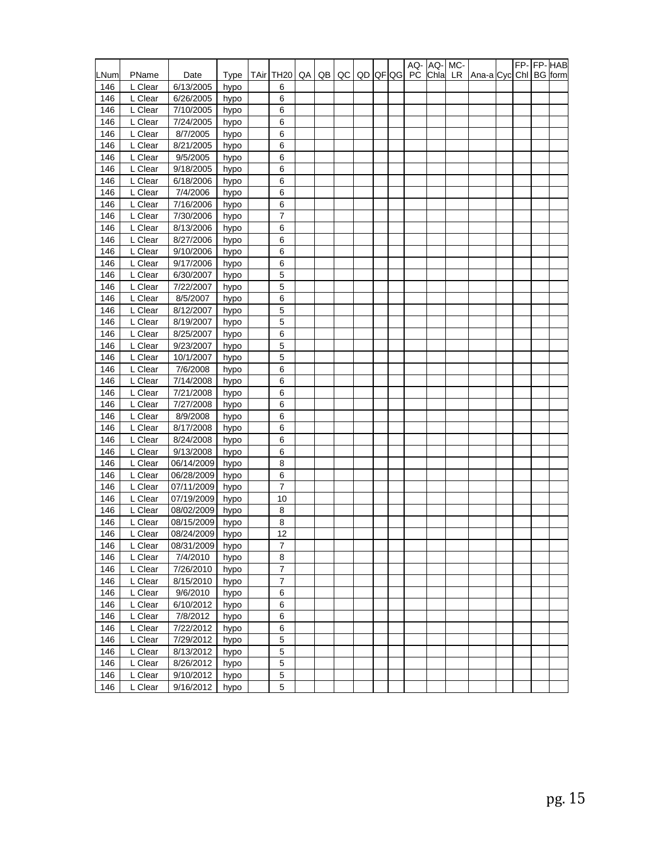|      |         |                 |      |      |                |    |    |    |    |              |           | AQ-AQ- | MC- |                       |  | FP-FP-HAB |
|------|---------|-----------------|------|------|----------------|----|----|----|----|--------------|-----------|--------|-----|-----------------------|--|-----------|
| LNum | PName   | Date            | Type | TAir | TH20           | QA | QB | QC | QD | <b>QF</b> QG | <b>PC</b> | Chla   | LR. | Ana-a Cyc Chi BG form |  |           |
| 146  | L Clear | 6/13/2005       | hypo |      | 6              |    |    |    |    |              |           |        |     |                       |  |           |
| 146  | L Clear | 6/26/2005       | hypo |      | 6              |    |    |    |    |              |           |        |     |                       |  |           |
| 146  | L Clear | 7/10/2005       | hypo |      | 6              |    |    |    |    |              |           |        |     |                       |  |           |
| 146  | L Clear | 7/24/2005       | hypo |      | 6              |    |    |    |    |              |           |        |     |                       |  |           |
| 146  | L Clear | 8/7/2005        | hypo |      | 6              |    |    |    |    |              |           |        |     |                       |  |           |
| 146  | L Clear | 8/21/2005       | hypo |      | 6              |    |    |    |    |              |           |        |     |                       |  |           |
| 146  | L Clear | 9/5/2005        | hypo |      | 6              |    |    |    |    |              |           |        |     |                       |  |           |
| 146  | L Clear | 9/18/2005       | hypo |      | 6              |    |    |    |    |              |           |        |     |                       |  |           |
| 146  | L Clear | 6/18/2006       | hypo |      | 6              |    |    |    |    |              |           |        |     |                       |  |           |
| 146  | L Clear | 7/4/2006        | hypo |      | 6              |    |    |    |    |              |           |        |     |                       |  |           |
| 146  | L Clear | 7/16/2006       | hypo |      | 6              |    |    |    |    |              |           |        |     |                       |  |           |
| 146  | L Clear | 7/30/2006       | hypo |      | 7              |    |    |    |    |              |           |        |     |                       |  |           |
| 146  | L Clear | 8/13/2006       | hypo |      | 6              |    |    |    |    |              |           |        |     |                       |  |           |
| 146  | L Clear | 8/27/2006       | hypo |      | 6              |    |    |    |    |              |           |        |     |                       |  |           |
| 146  | L Clear | 9/10/2006       | hypo |      | 6              |    |    |    |    |              |           |        |     |                       |  |           |
| 146  | L Clear | 9/17/2006       | hypo |      | 6              |    |    |    |    |              |           |        |     |                       |  |           |
| 146  | L Clear | 6/30/2007       | hypo |      | 5              |    |    |    |    |              |           |        |     |                       |  |           |
| 146  | L Clear | 7/22/2007       | hypo |      | 5              |    |    |    |    |              |           |        |     |                       |  |           |
| 146  | L Clear | 8/5/2007        | hypo |      | 6              |    |    |    |    |              |           |        |     |                       |  |           |
| 146  | L Clear | 8/12/2007       | hypo |      | 5              |    |    |    |    |              |           |        |     |                       |  |           |
| 146  | L Clear | 8/19/2007       | hypo |      | 5              |    |    |    |    |              |           |        |     |                       |  |           |
| 146  | L Clear | 8/25/2007       | hypo |      | 6              |    |    |    |    |              |           |        |     |                       |  |           |
| 146  | L Clear | 9/23/2007       | hypo |      | 5              |    |    |    |    |              |           |        |     |                       |  |           |
| 146  | L Clear | 10/1/2007       | hypo |      | 5              |    |    |    |    |              |           |        |     |                       |  |           |
| 146  | L Clear | 7/6/2008        | hypo |      | 6              |    |    |    |    |              |           |        |     |                       |  |           |
| 146  | L Clear | 7/14/2008       | hypo |      | 6              |    |    |    |    |              |           |        |     |                       |  |           |
| 146  | L Clear | 7/21/2008       | hypo |      | 6              |    |    |    |    |              |           |        |     |                       |  |           |
| 146  | L Clear | 7/27/2008       | hypo |      | 6              |    |    |    |    |              |           |        |     |                       |  |           |
| 146  | L Clear | 8/9/2008        | hypo |      | 6              |    |    |    |    |              |           |        |     |                       |  |           |
| 146  | L Clear | 8/17/2008       | hypo |      | 6              |    |    |    |    |              |           |        |     |                       |  |           |
| 146  | L Clear | 8/24/2008       | hypo |      | 6              |    |    |    |    |              |           |        |     |                       |  |           |
| 146  | L Clear | 9/13/2008       | hypo |      | 6              |    |    |    |    |              |           |        |     |                       |  |           |
| 146  | L Clear | 06/14/2009      | hypo |      | 8              |    |    |    |    |              |           |        |     |                       |  |           |
| 146  | L Clear | 06/28/2009      | hypo |      | 6              |    |    |    |    |              |           |        |     |                       |  |           |
| 146  | L Clear | 07/11/2009      | hypo |      | 7              |    |    |    |    |              |           |        |     |                       |  |           |
| 146  | L Clear | 07/19/2009      | hypo |      | 10             |    |    |    |    |              |           |        |     |                       |  |           |
| 146  | L Clear | 08/02/2009      | hypo |      | 8              |    |    |    |    |              |           |        |     |                       |  |           |
| 146  | L Clear | 08/15/2009      | hypo |      | 8              |    |    |    |    |              |           |        |     |                       |  |           |
| 146  | L Clear | 08/24/2009      | hypo |      | 12             |    |    |    |    |              |           |        |     |                       |  |           |
| 146  | L Clear | 08/31/2009 hypo |      |      | $\overline{7}$ |    |    |    |    |              |           |        |     |                       |  |           |
| 146  | L Clear | 7/4/2010        | hypo |      | 8              |    |    |    |    |              |           |        |     |                       |  |           |
| 146  | L Clear | 7/26/2010       | hypo |      | 7              |    |    |    |    |              |           |        |     |                       |  |           |
| 146  | L Clear | 8/15/2010       | hypo |      | 7              |    |    |    |    |              |           |        |     |                       |  |           |
| 146  | L Clear | 9/6/2010        | hypo |      | 6              |    |    |    |    |              |           |        |     |                       |  |           |
| 146  | L Clear | 6/10/2012       | hypo |      | 6              |    |    |    |    |              |           |        |     |                       |  |           |
| 146  | L Clear | 7/8/2012        | hypo |      | 6              |    |    |    |    |              |           |        |     |                       |  |           |
| 146  | L Clear | 7/22/2012       | hypo |      | 6              |    |    |    |    |              |           |        |     |                       |  |           |
| 146  | L Clear | 7/29/2012       | hypo |      | 5              |    |    |    |    |              |           |        |     |                       |  |           |
| 146  | L Clear | 8/13/2012       | hypo |      | 5              |    |    |    |    |              |           |        |     |                       |  |           |
| 146  | L Clear | 8/26/2012       | hypo |      | 5              |    |    |    |    |              |           |        |     |                       |  |           |
| 146  | L Clear | 9/10/2012       | hypo |      | 5              |    |    |    |    |              |           |        |     |                       |  |           |
| 146  | L Clear | 9/16/2012       | hypo |      | 5              |    |    |    |    |              |           |        |     |                       |  |           |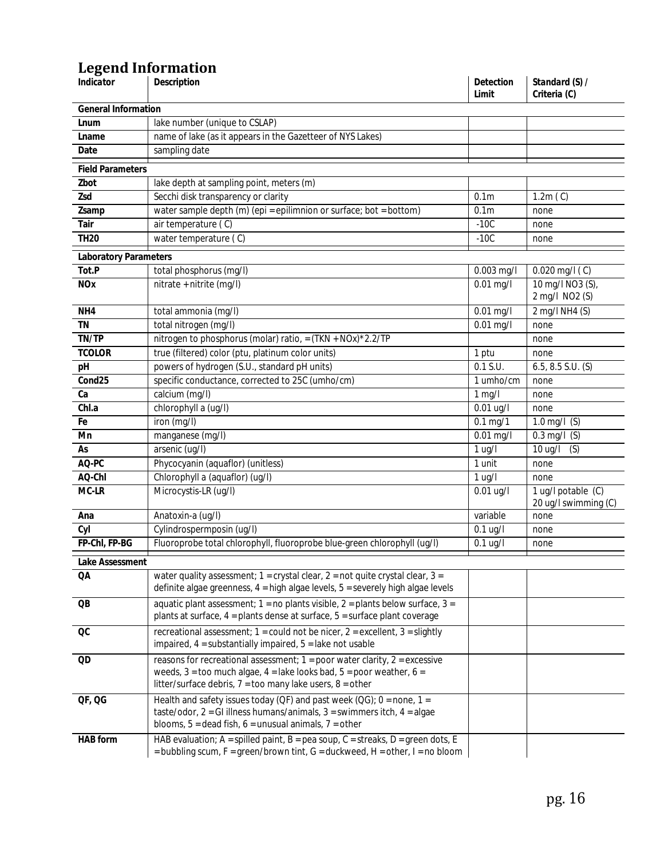# **Legend Information**

| Indicator                    | Description                                                                                                                                                                                                                     | <b>Detection</b><br>Limit | Standard (S) /<br>Criteria (C)             |
|------------------------------|---------------------------------------------------------------------------------------------------------------------------------------------------------------------------------------------------------------------------------|---------------------------|--------------------------------------------|
| <b>General Information</b>   |                                                                                                                                                                                                                                 |                           |                                            |
| Lnum                         | lake number (unique to CSLAP)                                                                                                                                                                                                   |                           |                                            |
| Lname                        | name of lake (as it appears in the Gazetteer of NYS Lakes)                                                                                                                                                                      |                           |                                            |
| Date                         | sampling date                                                                                                                                                                                                                   |                           |                                            |
| <b>Field Parameters</b>      |                                                                                                                                                                                                                                 |                           |                                            |
| Zbot                         | lake depth at sampling point, meters (m)                                                                                                                                                                                        |                           |                                            |
| Zsd                          | Secchi disk transparency or clarity                                                                                                                                                                                             | 0.1 <sub>m</sub>          | 1.2m(C)                                    |
| Zsamp                        | water sample depth (m) (epi = epilimnion or surface; bot = bottom)                                                                                                                                                              | 0.1 <sub>m</sub>          | none                                       |
| Tair                         | air temperature (C)                                                                                                                                                                                                             | $-10C$                    | none                                       |
| <b>TH20</b>                  | water temperature (C)                                                                                                                                                                                                           | $-10C$                    | none                                       |
| <b>Laboratory Parameters</b> |                                                                                                                                                                                                                                 |                           |                                            |
| Tot.P                        | total phosphorus (mg/l)                                                                                                                                                                                                         | 0.003 mg/l                | $0.020$ mg/l $(C)$                         |
| <b>NOx</b>                   | nitrate + nitrite (mg/l)                                                                                                                                                                                                        | $0.01$ mg/l               | 10 mg/l NO3 (S),<br>2 mg/l NO2 (S)         |
| NH4                          | total ammonia (mg/l)                                                                                                                                                                                                            | $0.01$ mg/l               | 2 mg/l NH4 (S)                             |
| <b>TN</b>                    | total nitrogen (mg/l)                                                                                                                                                                                                           | $0.01$ mg/l               | none                                       |
| TN/TP                        | nitrogen to phosphorus (molar) ratio, = $(TKN + NOx)*2.2/TP$                                                                                                                                                                    |                           | none                                       |
| <b>TCOLOR</b>                | true (filtered) color (ptu, platinum color units)                                                                                                                                                                               | 1 ptu                     | none                                       |
| pH                           | powers of hydrogen (S.U., standard pH units)                                                                                                                                                                                    | 0.1 S.U.                  | $6.5, 8.5$ S.U. (S)                        |
| Cond25                       | specific conductance, corrected to 25C (umho/cm)                                                                                                                                                                                | 1 umho/cm                 | none                                       |
| Ca                           | calcium (mg/l)                                                                                                                                                                                                                  | $1$ mg/l                  | none                                       |
| Chl.a                        | chlorophyll a (ug/l)                                                                                                                                                                                                            | $0.01$ ug/l               | none                                       |
| Fe                           | iron (mg/l)                                                                                                                                                                                                                     | $0.1 \,\mathrm{mg}/1$     | 1.0 mg/l $(S)$                             |
| Mn                           | manganese (mg/l)                                                                                                                                                                                                                | $\overline{0.01}$ mg/l    | $0.3$ mg/l $(S)$                           |
| As                           | arsenic (ug/l)                                                                                                                                                                                                                  | $1$ ug/l                  | 10 ug/l<br>(S)                             |
| AQ-PC                        | Phycocyanin (aquaflor) (unitless)                                                                                                                                                                                               | 1 unit                    | none                                       |
| AQ-Chl                       | Chlorophyll a (aquaflor) (ug/l)                                                                                                                                                                                                 | $1$ ug/l                  | none                                       |
| MC-LR                        | Microcystis-LR (ug/l)                                                                                                                                                                                                           | $0.01$ ug/l               | 1 ug/l potable (C)<br>20 ug/l swimming (C) |
| Ana                          | Anatoxin-a (ug/l)                                                                                                                                                                                                               | variable                  | none                                       |
| Cyl                          | Cylindrospermposin (ug/l)                                                                                                                                                                                                       | $0.1$ ug/l                | none                                       |
| FP-ChI, FP-BG                | Fluoroprobe total chlorophyll, fluoroprobe blue-green chlorophyll (ug/l)                                                                                                                                                        | $0.1$ ug/l                | none                                       |
| <b>Lake Assessment</b>       |                                                                                                                                                                                                                                 |                           |                                            |
| QA                           | water quality assessment; $1 = \text{crystal clear}$ , $2 = \text{not quite crystal clear}$ , $3 =$<br>definite algae greenness, 4 = high algae levels, 5 = severely high algae levels                                          |                           |                                            |
| QB                           | aquatic plant assessment; $1 =$ no plants visible, $2 =$ plants below surface, $3 =$<br>plants at surface, 4 = plants dense at surface, 5 = surface plant coverage                                                              |                           |                                            |
| OC                           | recreational assessment; $1 = \text{could not be nicer}, 2 = \text{excellent}, 3 = \text{slightly}$<br>impaired, $4 =$ substantially impaired, $5 =$ lake not usable                                                            |                           |                                            |
| QD                           | reasons for recreational assessment; $1 = poor$ water clarity, $2 = excessive$<br>weeds, $3 =$ too much algae, $4 =$ lake looks bad, $5 =$ poor weather, $6 =$<br>litter/surface debris, $7 =$ too many lake users, $8 =$ other |                           |                                            |
| QF, QG                       | Health and safety issues today (QF) and past week (QG); $0 =$ none, $1 =$<br>taste/odor, $2 = G1$ illness humans/animals, $3 =$ swimmers itch, $4 =$ algae<br>blooms, $5 =$ dead fish, $6 =$ unusual animals, $7 =$ other       |                           |                                            |
| HAB form                     | HAB evaluation; A = spilled paint, B = pea soup, C = streaks, D = green dots, E<br>= bubbling scum, $F = green/brown$ tint, $G = duckweed$ , $H = other$ , $I = no$ bloom                                                       |                           |                                            |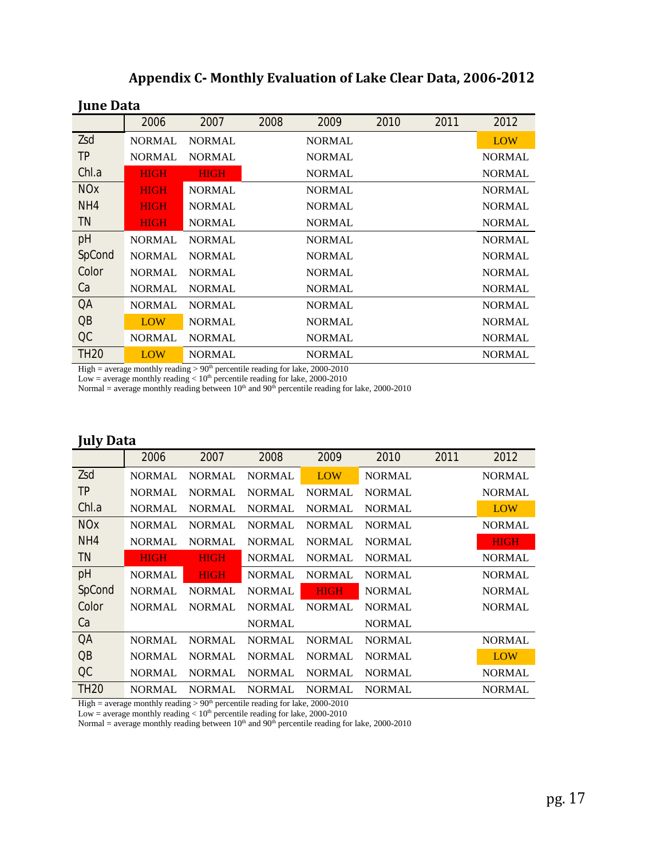| Tulit Data       |               |               |      |               |      |      |               |
|------------------|---------------|---------------|------|---------------|------|------|---------------|
|                  | 2006          | 2007          | 2008 | 2009          | 2010 | 2011 | 2012          |
| Zsd              | <b>NORMAL</b> | <b>NORMAL</b> |      | <b>NORMAL</b> |      |      | <b>LOW</b>    |
| TP               | <b>NORMAL</b> | <b>NORMAL</b> |      | <b>NORMAL</b> |      |      | <b>NORMAL</b> |
| Chl.a            | <b>HIGH</b>   | <b>HIGH</b>   |      | <b>NORMAL</b> |      |      | <b>NORMAL</b> |
| <b>NOx</b>       | <b>HIGH</b>   | <b>NORMAL</b> |      | <b>NORMAL</b> |      |      | <b>NORMAL</b> |
| NH4              | <b>HIGH</b>   | <b>NORMAL</b> |      | <b>NORMAL</b> |      |      | <b>NORMAL</b> |
| TN               | <b>HIGH</b>   | <b>NORMAL</b> |      | <b>NORMAL</b> |      |      | <b>NORMAL</b> |
| pH               | <b>NORMAL</b> | <b>NORMAL</b> |      | <b>NORMAL</b> |      |      | NORMAL        |
| SpCond           | <b>NORMAL</b> | <b>NORMAL</b> |      | <b>NORMAL</b> |      |      | <b>NORMAL</b> |
| Color            | <b>NORMAL</b> | <b>NORMAL</b> |      | <b>NORMAL</b> |      |      | <b>NORMAL</b> |
| Ca               | <b>NORMAL</b> | <b>NORMAL</b> |      | <b>NORMAL</b> |      |      | <b>NORMAL</b> |
| QΑ               | <b>NORMAL</b> | <b>NORMAL</b> |      | <b>NORMAL</b> |      |      | <b>NORMAL</b> |
| $\overline{OB}$  | <b>LOW</b>    | <b>NORMAL</b> |      | <b>NORMAL</b> |      |      | <b>NORMAL</b> |
| OC               | <b>NORMAL</b> | <b>NORMAL</b> |      | <b>NORMAL</b> |      |      | <b>NORMAL</b> |
| TH <sub>20</sub> | LOW           | <b>NORMAL</b> |      | <b>NORMAL</b> |      |      | <b>NORMAL</b> |

### **Appendix C- Monthly Evaluation of Lake Clear Data, 2006-2012**

High = average monthly reading  $> 90<sup>th</sup>$  percentile reading for lake, 2000-2010

Low = average monthly reading  $< 10<sup>th</sup>$  percentile reading for lake, 2000-2010

Normal = average monthly reading between  $10<sup>th</sup>$  and  $90<sup>th</sup>$  percentile reading for lake, 2000-2010

## **July Data**

**June Data**

|             | 2006          | 2007          | 2008                | 2009          | 2010          | 2011 | 2012          |
|-------------|---------------|---------------|---------------------|---------------|---------------|------|---------------|
| Zsd         | <b>NORMAL</b> | <b>NORMAL</b> | <b>NORMAL</b>       | <b>LOW</b>    | <b>NORMAL</b> |      | <b>NORMAL</b> |
| TР          | <b>NORMAL</b> | <b>NORMAL</b> | <b>NORMAL</b>       | <b>NORMAL</b> | <b>NORMAL</b> |      | <b>NORMAL</b> |
| Chl.a       | <b>NORMAL</b> | <b>NORMAL</b> | <b>NORMAL</b>       | <b>NORMAL</b> | <b>NORMAL</b> |      | <b>LOW</b>    |
| <b>NOx</b>  | <b>NORMAL</b> | <b>NORMAL</b> | <b>NORMAL</b>       | <b>NORMAL</b> | <b>NORMAL</b> |      | <b>NORMAL</b> |
| NH4         | <b>NORMAL</b> | <b>NORMAL</b> | <b>NORMAL</b>       | <b>NORMAL</b> | <b>NORMAL</b> |      | <b>HIGH</b>   |
| TN.         | <b>HIGH</b>   | <b>HIGH</b>   | <b>NORMAL</b>       | <b>NORMAL</b> | <b>NORMAL</b> |      | <b>NORMAL</b> |
| pH          | <b>NORMAL</b> | <b>HIGH</b>   | <b>NORMAL</b>       | <b>NORMAL</b> | <b>NORMAL</b> |      | <b>NORMAL</b> |
| SpCond      | <b>NORMAL</b> | <b>NORMAL</b> | NORMAL <sup>1</sup> | <b>HIGH</b>   | <b>NORMAL</b> |      | <b>NORMAL</b> |
| Color       | <b>NORMAL</b> | <b>NORMAL</b> | <b>NORMAL</b>       | <b>NORMAL</b> | <b>NORMAL</b> |      | <b>NORMAL</b> |
| Ca          |               |               | <b>NORMAL</b>       |               | <b>NORMAL</b> |      |               |
| QA          | <b>NORMAL</b> | <b>NORMAL</b> | <b>NORMAL</b>       | <b>NORMAL</b> | <b>NORMAL</b> |      | <b>NORMAL</b> |
| QB          | <b>NORMAL</b> | <b>NORMAL</b> | <b>NORMAL</b>       | <b>NORMAL</b> | <b>NORMAL</b> |      | <b>LOW</b>    |
| QC          | <b>NORMAL</b> | <b>NORMAL</b> | <b>NORMAL</b>       | <b>NORMAL</b> | <b>NORMAL</b> |      | <b>NORMAL</b> |
| <i>TH20</i> | <b>NORMAL</b> | <b>NORMAL</b> | <b>NORMAL</b>       | <b>NORMAL</b> | <b>NORMAL</b> |      | <b>NORMAL</b> |

High = average monthly reading  $> 90<sup>th</sup>$  percentile reading for lake, 2000-2010

Low = average monthly reading  $< 10<sup>th</sup>$  percentile reading for lake, 2000-2010

Normal = average monthly reading between  $10<sup>th</sup>$  and  $90<sup>th</sup>$  percentile reading for lake, 2000-2010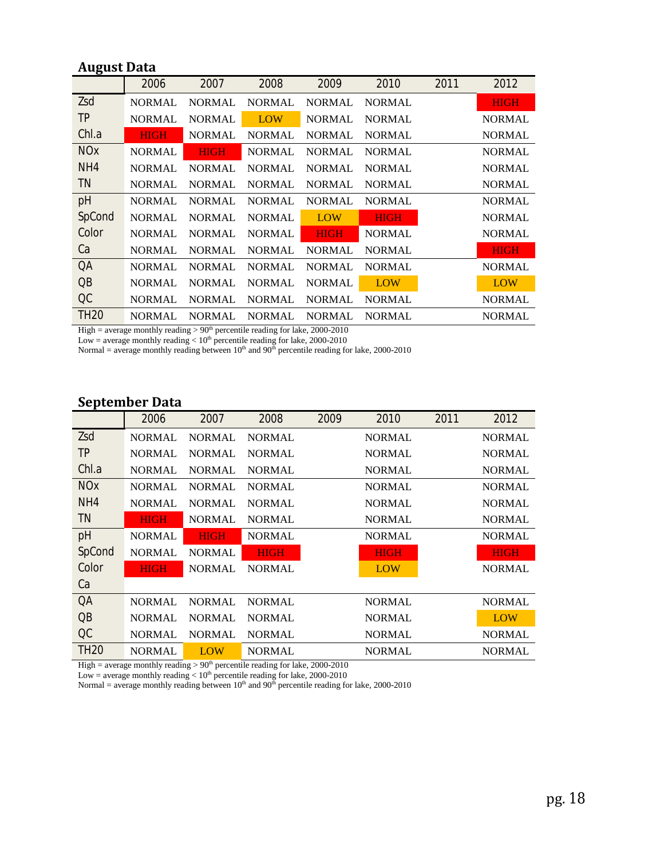## **August Data**

|                 | 2006          | 2007          | 2008          | 2009          | 2010          | 2011 | 2012          |
|-----------------|---------------|---------------|---------------|---------------|---------------|------|---------------|
| Zsd             | <b>NORMAL</b> | <b>NORMAL</b> | <b>NORMAL</b> | <b>NORMAL</b> | <b>NORMAL</b> |      | <b>HIGH</b>   |
| TР              | <b>NORMAL</b> | <b>NORMAL</b> | <b>LOW</b>    | <b>NORMAL</b> | <b>NORMAL</b> |      | <b>NORMAL</b> |
| Chl.a           | <b>HIGH</b>   | <b>NORMAL</b> | <b>NORMAL</b> | <b>NORMAL</b> | <b>NORMAL</b> |      | <b>NORMAL</b> |
| <b>NOx</b>      | <b>NORMAL</b> | <b>HIGH</b>   | <b>NORMAL</b> | <b>NORMAL</b> | <b>NORMAL</b> |      | <b>NORMAL</b> |
| NH4             | <b>NORMAL</b> | <b>NORMAL</b> | <b>NORMAL</b> | <b>NORMAL</b> | <b>NORMAL</b> |      | <b>NORMAL</b> |
| TN.             | <b>NORMAL</b> | NORMAL        | <b>NORMAL</b> | <b>NORMAL</b> | <b>NORMAL</b> |      | <b>NORMAL</b> |
| pH              | <b>NORMAL</b> | <b>NORMAL</b> | <b>NORMAL</b> | <b>NORMAL</b> | <b>NORMAL</b> |      | <b>NORMAL</b> |
| SpCond          | <b>NORMAL</b> | <b>NORMAL</b> | <b>NORMAL</b> | <b>LOW</b>    | <b>HIGH</b>   |      | <b>NORMAL</b> |
| Color           | <b>NORMAL</b> | <b>NORMAL</b> | <b>NORMAL</b> | <b>HIGH</b>   | <b>NORMAL</b> |      | <b>NORMAL</b> |
| Ca              | <b>NORMAL</b> | <b>NORMAL</b> | <b>NORMAL</b> | <b>NORMAL</b> | <b>NORMAL</b> |      | <b>HIGH</b>   |
| QA              | <b>NORMAL</b> | <b>NORMAL</b> | <b>NORMAL</b> | <b>NORMAL</b> | <b>NORMAL</b> |      | <b>NORMAL</b> |
| $\overline{OB}$ | <b>NORMAL</b> | <b>NORMAL</b> | <b>NORMAL</b> | <b>NORMAL</b> | LOW           |      | <b>LOW</b>    |
| QC              | <b>NORMAL</b> | <b>NORMAL</b> | <b>NORMAL</b> | <b>NORMAL</b> | <b>NORMAL</b> |      | <b>NORMAL</b> |
| <b>TH20</b>     | <b>NORMAL</b> | <b>NORMAL</b> | <b>NORMAL</b> | <b>NORMAL</b> | <b>NORMAL</b> |      | <b>NORMAL</b> |

High = average monthly reading  $> 90<sup>th</sup>$  percentile reading for lake, 2000-2010

Low = average monthly reading  $< 10<sup>th</sup>$  percentile reading for lake, 2000-2010

Normal = average monthly reading between  $10<sup>th</sup>$  and  $90<sup>th</sup>$  percentile reading for lake, 2000-2010

# **September Data**

|                 | 2006          | 2007          | 2008          | 2009 | <i>2010</i>   | 2011 | 2012          |
|-----------------|---------------|---------------|---------------|------|---------------|------|---------------|
| Zsd             | <b>NORMAL</b> | <b>NORMAL</b> | <b>NORMAL</b> |      | <b>NORMAL</b> |      | <b>NORMAL</b> |
| TР              | <b>NORMAL</b> | <b>NORMAL</b> | <b>NORMAL</b> |      | <b>NORMAL</b> |      | <b>NORMAL</b> |
| Chl.a           | <b>NORMAL</b> | <b>NORMAL</b> | <b>NORMAL</b> |      | <b>NORMAL</b> |      | <b>NORMAL</b> |
| <b>NOx</b>      | <b>NORMAL</b> | <b>NORMAL</b> | <b>NORMAL</b> |      | NORMAL        |      | NORMAL        |
| NH4             | <b>NORMAL</b> | <b>NORMAL</b> | <b>NORMAL</b> |      | NORMAL        |      | NORMAL        |
| TN.             | <b>HIGH</b>   | <b>NORMAL</b> | <b>NORMAL</b> |      | NORMAL        |      | <b>NORMAL</b> |
| pH              | <b>NORMAL</b> | <b>HIGH</b>   | <b>NORMAL</b> |      | <b>NORMAL</b> |      | <b>NORMAL</b> |
| SpCond          | <b>NORMAL</b> | <b>NORMAL</b> | <b>HIGH</b>   |      | <b>HIGH</b>   |      | <b>HIGH</b>   |
| Color           | <b>HIGH</b>   | <b>NORMAL</b> | <b>NORMAL</b> |      | LOW           |      | <b>NORMAL</b> |
| Ca              |               |               |               |      |               |      |               |
| QA              | <b>NORMAL</b> | <b>NORMAL</b> | <b>NORMAL</b> |      | NORMAL        |      | <b>NORMAL</b> |
| $\overline{OB}$ | <b>NORMAL</b> | <b>NORMAL</b> | <b>NORMAL</b> |      | <b>NORMAL</b> |      | <b>LOW</b>    |
| Q <sub>C</sub>  | <b>NORMAL</b> | <b>NORMAL</b> | <b>NORMAL</b> |      | NORMAL        |      | <b>NORMAL</b> |
| <i>TH20</i>     | <b>NORMAL</b> | LOW           | <b>NORMAL</b> |      | NORMAL        |      | <b>NORMAL</b> |

High = average monthly reading  $> 90<sup>th</sup>$  percentile reading for lake, 2000-2010

Low = average monthly reading  $< 10<sup>th</sup>$  percentile reading for lake, 2000-2010

Normal = average monthly reading between  $10<sup>th</sup>$  and  $90<sup>th</sup>$  percentile reading for lake, 2000-2010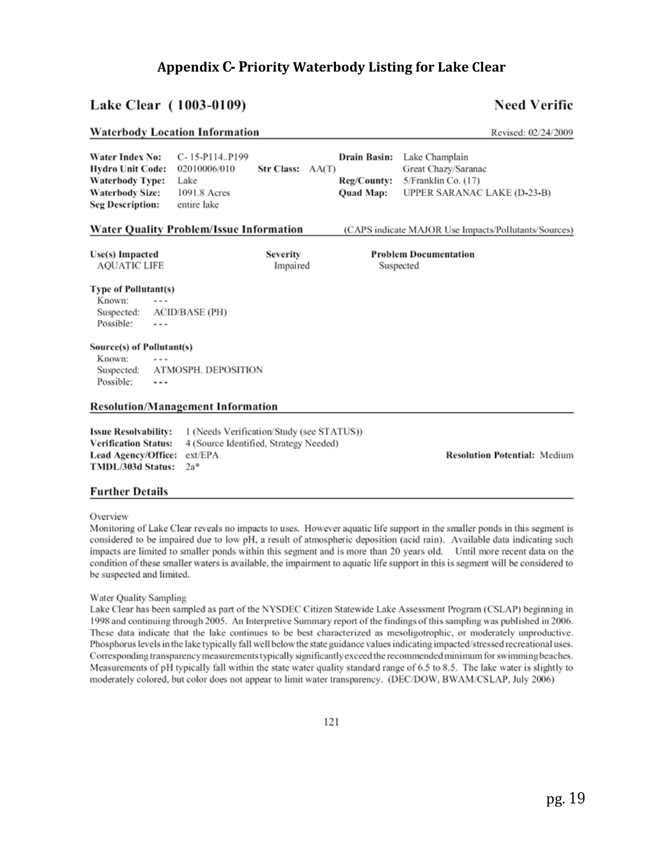## **Appendix C- Priority Waterbody Listing for Lake Clear**

### Lake Clear (1003-0109)

### **Need Verific**

Revised: 02/24/2009

#### **Waterbody Location Information**

C-15-P114..P199 Water Index No: Drain Basin: Lake Champlain **Hydro Unit Code:** 02010006/010 Str Class: AA(T) Great Chazy/Saranac **Waterbody Type:** Reg/County: 5/Franklin Co. (17) Lake **Waterbody Size:** 1091.8 Acres **Ouad Map:** UPPER SARANAC LAKE (D-23-B) **Seg Description:** entire lake **Water Quality Problem/Issue Information** (CAPS indicate MAJOR Use Impacts/Pollutants/Sources)

Use(s) Impacted **AQUATIC LIFE**  Severity Impaired **Problem Documentation** Suspected

#### **Type of Pollutant(s)**

Known: Suspected: **ACID/BASE (PH)** Possible: . . .

#### Source(s) of Pollutant(s)

Known: Suspected: ATMOSPH. DEPOSITION Possible:  $\cdots$ 

#### **Resolution/Management Information**

**Issue Resolvability:** 1 (Needs Verification/Study (see STATUS)) **Verification Status:** 4 (Source Identified, Strategy Needed) Lead Agency/Office: ext/EPA TMDL/303d Status: 2a\*

**Resolution Potential: Medium** 

#### **Further Details**

Overview

Monitoring of Lake Clear reveals no impacts to uses. However aquatic life support in the smaller ponds in this segment is considered to be impaired due to low pH, a result of atmospheric deposition (acid rain). Available data indicating such impacts are limited to smaller ponds within this segment and is more than 20 years old. Until more recent data on the condition of these smaller waters is available, the impairment to aquatic life support in this is segment will be considered to be suspected and limited.

#### Water Quality Sampling

Lake Clear has been sampled as part of the NYSDEC Citizen Statewide Lake Assessment Program (CSLAP) beginning in 1998 and continuing through 2005. An Interpretive Summary report of the findings of this sampling was published in 2006. These data indicate that the lake continues to be best characterized as mesoligotrophic, or moderately unproductive. Phosphorus levels in the lake typically fall well below the state guidance values indicating impacted/stressed recreational uses. Corresponding transparency measurements typically significantly exceed the recommended minimum for swimming beaches. Measurements of pH typically fall within the state water quality standard range of 6.5 to 8.5. The lake water is slightly to moderately colored, but color does not appear to limit water transparency. (DEC/DOW, BWAM/CSLAP, July 2006)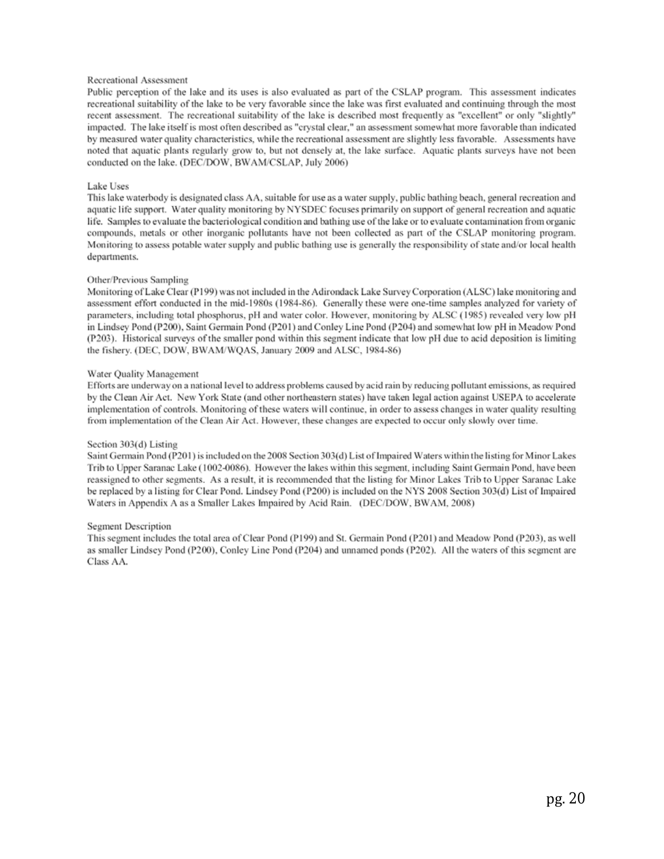#### Recreational Assessment

Public perception of the lake and its uses is also evaluated as part of the CSLAP program. This assessment indicates recreational suitability of the lake to be very favorable since the lake was first evaluated and continuing through the most recent assessment. The recreational suitability of the lake is described most frequently as "excellent" or only "slightly" impacted. The lake itself is most often described as "crystal clear," an assessment somewhat more favorable than indicated by measured water quality characteristics, while the recreational assessment are slightly less favorable. Assessments have noted that aquatic plants regularly grow to, but not densely at, the lake surface. Aquatic plants surveys have not been conducted on the lake. (DEC/DOW, BWAM/CSLAP, July 2006)

#### Lake Uses

This lake waterbody is designated class AA, suitable for use as a water supply, public bathing beach, general recreation and aquatic life support. Water quality monitoring by NYSDEC focuses primarily on support of general recreation and aquatic life. Samples to evaluate the bacteriological condition and bathing use of the lake or to evaluate contamination from organic compounds, metals or other inorganic pollutants have not been collected as part of the CSLAP monitoring program. Monitoring to assess potable water supply and public bathing use is generally the responsibility of state and/or local health departments.

#### Other/Previous Sampling

Monitoring of Lake Clear (P199) was not included in the Adirondack Lake Survey Corporation (ALSC) lake monitoring and assessment effort conducted in the mid-1980s (1984-86). Generally these were one-time samples analyzed for variety of parameters, including total phosphorus, pH and water color. However, monitoring by ALSC (1985) revealed very low pH in Lindsey Pond (P200), Saint Germain Pond (P201) and Conley Line Pond (P204) and somewhat low pH in Meadow Pond (P203). Historical surveys of the smaller pond within this segment indicate that low pH due to acid deposition is limiting the fishery. (DEC, DOW, BWAM/WQAS, January 2009 and ALSC, 1984-86)

#### Water Quality Management

Efforts are underway on a national level to address problems caused by acid rain by reducing pollutant emissions, as required by the Clean Air Act. New York State (and other northeastern states) have taken legal action against USEPA to accelerate implementation of controls. Monitoring of these waters will continue, in order to assess changes in water quality resulting from implementation of the Clean Air Act. However, these changes are expected to occur only slowly over time.

#### Section 303(d) Listing

Saint Germain Pond (P201) is included on the 2008 Section 303(d) List of Impaired Waters within the listing for Minor Lakes Trib to Upper Saranac Lake (1002-0086). However the lakes within this segment, including Saint Germain Pond, have been reassigned to other segments. As a result, it is recommended that the listing for Minor Lakes Trib to Upper Saranac Lake be replaced by a listing for Clear Pond. Lindsey Pond (P200) is included on the NYS 2008 Section 303(d) List of Impaired Waters in Appendix A as a Smaller Lakes Impaired by Acid Rain. (DEC/DOW, BWAM, 2008)

#### Segment Description

This segment includes the total area of Clear Pond (P199) and St. Germain Pond (P201) and Meadow Pond (P203), as well as smaller Lindsey Pond (P200), Conley Line Pond (P204) and unnamed ponds (P202). All the waters of this segment are Class AA.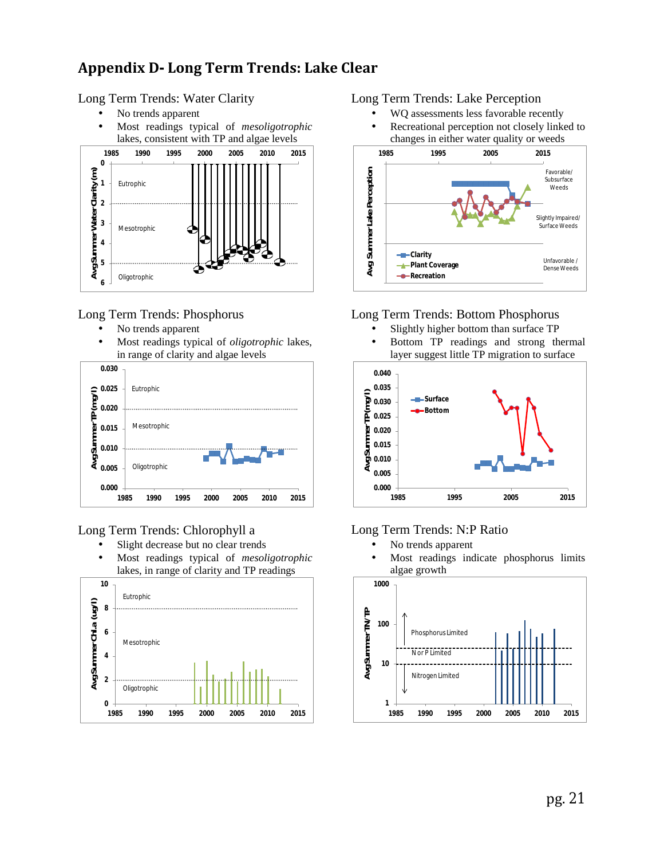# **Appendix D- Long Term Trends: Lake Clear**

### Long Term Trends: Water Clarity

- No trends apparent
- Most readings typical of *mesoligotrophic* lakes, consistent with TP and algae levels



### Long Term Trends: Phosphorus

- No trends apparent
- Most readings typical of *oligotrophic* lakes, in range of clarity and algae levels



### Long Term Trends: Chlorophyll a

- Slight decrease but no clear trends l,
- Most readings typical of *mesoligotrophic* lakes, in range of clarity and TP readings



### Long Term Trends: Lake Perception

- WQ assessments less favorable recently Recreational perception not closely linked to
- changes in either water quality or weeds



### Long Term Trends: Bottom Phosphorus

- Slightly higher bottom than surface TP
- Bottom TP readings and strong thermal layer suggest little TP migration to surface



### Long Term Trends: N:P Ratio

- No trends apparent ä,
- Most readings indicate phosphorus limits ä, algae growth